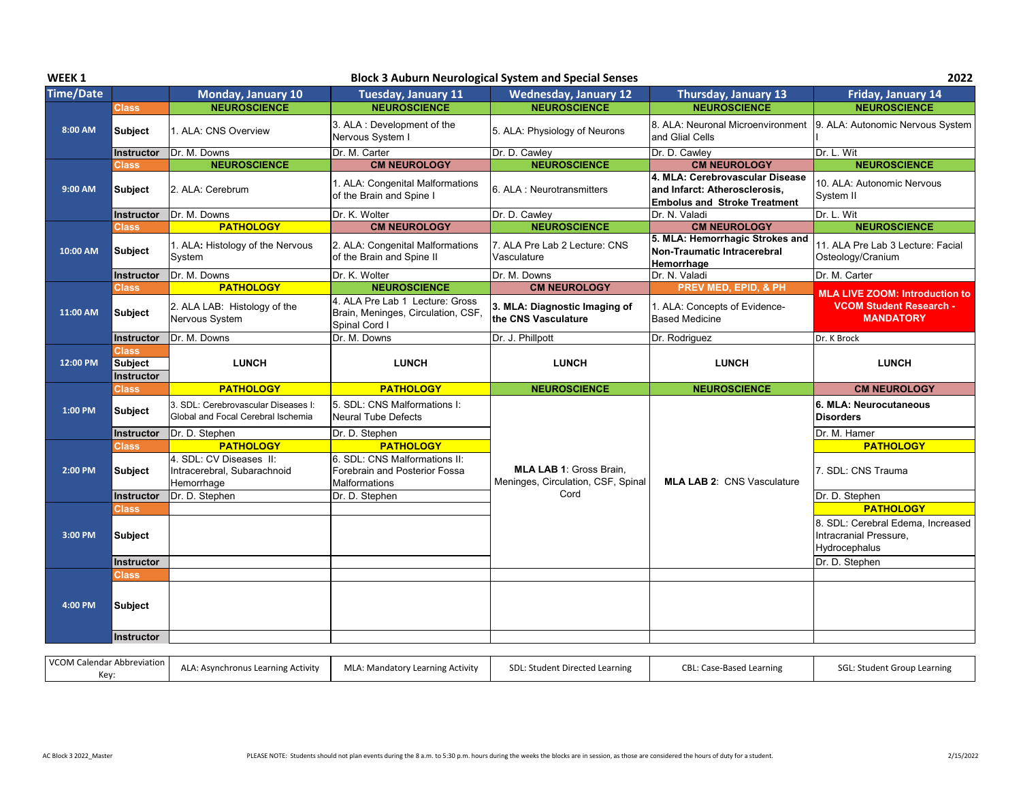| WEEK 1           |                                              |                                                                           |                                                                                        | <b>Block 3 Auburn Neurological System and Special Senses</b>  |                                                                                                         | 2022                                                                                             |
|------------------|----------------------------------------------|---------------------------------------------------------------------------|----------------------------------------------------------------------------------------|---------------------------------------------------------------|---------------------------------------------------------------------------------------------------------|--------------------------------------------------------------------------------------------------|
| <b>Time/Date</b> |                                              | Monday, January 10                                                        | <b>Tuesday, January 11</b>                                                             | <b>Wednesday, January 12</b>                                  | Thursday, January 13                                                                                    | <b>Friday, January 14</b>                                                                        |
|                  | <b>Class</b>                                 | <b>NEUROSCIENCE</b>                                                       | <b>NEUROSCIENCE</b>                                                                    | <b>NEUROSCIENCE</b>                                           | <b>NEUROSCIENCE</b>                                                                                     | <b>NEUROSCIENCE</b>                                                                              |
| 8:00 AM          | <b>Subject</b>                               | 1. ALA: CNS Overview                                                      | 3. ALA : Development of the<br>Nervous System I                                        | 5. ALA: Physiology of Neurons                                 | 8. ALA: Neuronal Microenvironment<br>and Glial Cells                                                    | 9. ALA: Autonomic Nervous System                                                                 |
|                  | Instructor                                   | Dr. M. Downs                                                              | Dr. M. Carter                                                                          | Dr. D. Cawley                                                 | Dr. D. Cawley                                                                                           | Dr. L. Wit                                                                                       |
|                  | <b>Class</b>                                 | <b>NEUROSCIENCE</b>                                                       | <b>CM NEUROLOGY</b>                                                                    | <b>NEUROSCIENCE</b>                                           | <b>CM NEUROLOGY</b>                                                                                     | <b>NEUROSCIENCE</b>                                                                              |
| 9:00 AM          | Subject                                      | 2. ALA: Cerebrum                                                          | 1. ALA: Congenital Malformations<br>of the Brain and Spine I                           | 6. ALA : Neurotransmitters                                    | 4. MLA: Cerebrovascular Disease<br>and Infarct: Atherosclerosis,<br><b>Embolus and Stroke Treatment</b> | 10. ALA: Autonomic Nervous<br>System II                                                          |
|                  | <b>Instructor</b>                            | Dr. M. Downs                                                              | Dr. K. Wolter                                                                          | Dr. D. Cawley                                                 | Dr. N. Valadi                                                                                           | Dr. L. Wit                                                                                       |
|                  | <b>Class</b>                                 | <b>PATHOLOGY</b>                                                          | <b>CM NEUROLOGY</b>                                                                    | <b>NEUROSCIENCE</b>                                           | <b>CM NEUROLOGY</b>                                                                                     | <b>NEUROSCIENCE</b>                                                                              |
| 10:00 AM         | <b>Subject</b>                               | 1. ALA: Histology of the Nervous<br>System                                | 2. ALA: Congenital Malformations<br>of the Brain and Spine II                          | 7. ALA Pre Lab 2 Lecture: CNS<br>Vasculature                  | 5. MLA: Hemorrhagic Strokes and<br>Non-Traumatic Intracerebral<br>Hemorrhage                            | 11. ALA Pre Lab 3 Lecture: Facial<br>Osteology/Cranium                                           |
|                  | Instructor                                   | Dr. M. Downs                                                              | Dr. K. Wolter                                                                          | Dr. M. Downs                                                  | Dr. N. Valadi                                                                                           | Dr. M. Carter                                                                                    |
|                  | <b>Class</b>                                 | <b>PATHOLOGY</b>                                                          | <b>NEUROSCIENCE</b>                                                                    | <b>CM NEUROLOGY</b>                                           | PREV MED, EPID, & PH                                                                                    | <b>MLA LIVE ZOOM: Introduction to</b>                                                            |
| 11:00 AM         | <b>Subject</b>                               | 2. ALA LAB: Histology of the<br>Nervous System                            | 4. ALA Pre Lab 1 Lecture: Gross<br>Brain, Meninges, Circulation, CSF,<br>Spinal Cord I | 3. MLA: Diagnostic Imaging of<br>the CNS Vasculature          | 1. ALA: Concepts of Evidence-<br><b>Based Medicine</b>                                                  | <b>VCOM Student Research -</b><br><b>MANDATORY</b>                                               |
|                  | Instructor                                   | Dr. M. Downs                                                              | Dr. M. Downs                                                                           | Dr. J. Phillpott                                              | Dr. Rodriguez                                                                                           | Dr. K Brock                                                                                      |
| 12:00 PM         | <b>Class</b><br><b>Subject</b><br>Instructor | <b>LUNCH</b>                                                              | <b>LUNCH</b>                                                                           | <b>LUNCH</b>                                                  | <b>LUNCH</b>                                                                                            | <b>LUNCH</b>                                                                                     |
|                  | <b>Class</b>                                 | <b>PATHOLOGY</b>                                                          | <b>PATHOLOGY</b>                                                                       | <b>NEUROSCIENCE</b>                                           | <b>NEUROSCIENCE</b>                                                                                     | <b>CM NEUROLOGY</b>                                                                              |
| 1:00 PM          | <b>Subject</b>                               | 3. SDL: Cerebrovascular Diseases I:<br>Global and Focal Cerebral Ischemia | 5. SDL: CNS Malformations I:<br><b>Neural Tube Defects</b>                             |                                                               |                                                                                                         | 6. MLA: Neurocutaneous<br><b>Disorders</b>                                                       |
|                  | Instructor                                   | Dr. D. Stephen                                                            | Dr. D. Stephen                                                                         |                                                               |                                                                                                         | Dr. M. Hamer                                                                                     |
|                  | <b>Class</b>                                 | <b>PATHOLOGY</b>                                                          | <b>PATHOLOGY</b>                                                                       |                                                               |                                                                                                         | <b>PATHOLOGY</b>                                                                                 |
| 2:00 PM          | Subject                                      | 4. SDL: CV Diseases II:<br>Intracerebral, Subarachnoid<br>Hemorrhage      | 6. SDL: CNS Malformations II:<br>Forebrain and Posterior Fossa<br>Malformations        | MLA LAB 1: Gross Brain,<br>Meninges, Circulation, CSF, Spinal | <b>MLA LAB 2: CNS Vasculature</b>                                                                       | 7. SDL: CNS Trauma                                                                               |
|                  | Instructor                                   | Dr. D. Stephen                                                            | Dr. D. Stephen                                                                         | Cord                                                          |                                                                                                         | Dr. D. Stephen                                                                                   |
| 3:00 PM          | <b>Class</b><br><b>Subject</b>               |                                                                           |                                                                                        |                                                               |                                                                                                         | <b>PATHOLOGY</b><br>8. SDL: Cerebral Edema, Increased<br>Intracranial Pressure,<br>Hydrocephalus |
|                  | <b>Instructor</b>                            |                                                                           |                                                                                        |                                                               |                                                                                                         | Dr. D. Stephen                                                                                   |
| 4:00 PM          | <b>Class</b><br>Subject                      |                                                                           |                                                                                        |                                                               |                                                                                                         |                                                                                                  |
|                  | Instructor                                   |                                                                           |                                                                                        |                                                               |                                                                                                         |                                                                                                  |
|                  | VCOM Calendar Abbreviation                   |                                                                           |                                                                                        |                                                               |                                                                                                         |                                                                                                  |

| VCOM Calendar Abbreviation<br>$V \cap V$<br>IVE V. | MLA: Mandatory Learning Activity<br>.: Asynchronus Learning Activity | SDL: Student Directed Learning<br>CBL: Case-Based Learning | SGL: Student Group Learning |
|----------------------------------------------------|----------------------------------------------------------------------|------------------------------------------------------------|-----------------------------|
|----------------------------------------------------|----------------------------------------------------------------------|------------------------------------------------------------|-----------------------------|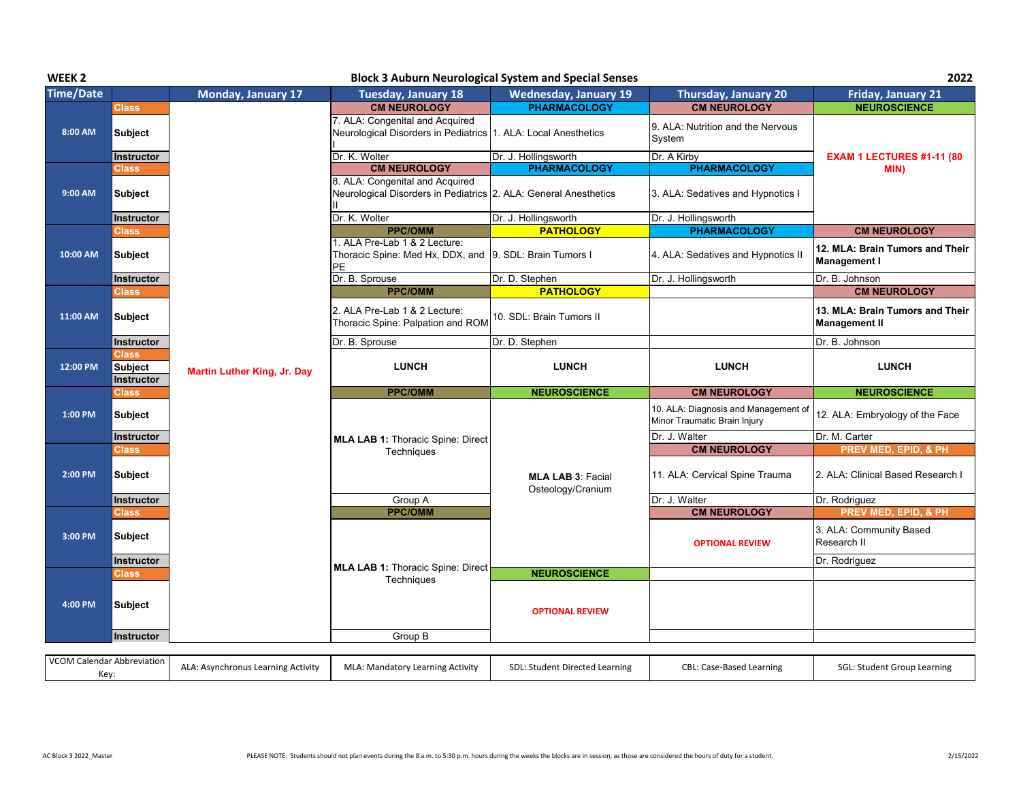| WEEK <sub>2</sub> |                                       |                                    |                                                                                                        | <b>Block 3 Auburn Neurological System and Special Senses</b> |                                                                      | 2022                                                    |
|-------------------|---------------------------------------|------------------------------------|--------------------------------------------------------------------------------------------------------|--------------------------------------------------------------|----------------------------------------------------------------------|---------------------------------------------------------|
| <b>Time/Date</b>  |                                       | Monday, January 17                 | <b>Tuesday, January 18</b>                                                                             | <b>Wednesday, January 19</b>                                 | <b>Thursday, January 20</b>                                          | <b>Friday, January 21</b>                               |
|                   | <b>Class</b>                          |                                    | <b>CM NEUROLOGY</b>                                                                                    | <b>PHARMACOLOGY</b>                                          | <b>CM NEUROLOGY</b>                                                  | <b>NEUROSCIENCE</b>                                     |
| 8:00 AM           | <b>Subject</b>                        |                                    | 7. ALA: Congenital and Acquired<br>Neurological Disorders in Pediatrics 1. ALA: Local Anesthetics      |                                                              | 9. ALA: Nutrition and the Nervous<br>System                          |                                                         |
|                   | Instructor                            |                                    | Dr. K. Wolter                                                                                          | Dr. J. Hollingsworth                                         | Dr. A Kirby                                                          | EXAM 1 LECTURES #1-11 (80                               |
|                   | <b>Class</b>                          |                                    | <b>CM NEUROLOGY</b>                                                                                    | <b>PHARMACOLOGY</b>                                          | <b>PHARMACOLOGY</b>                                                  | MIN)                                                    |
| 9:00 AM           | <b>Subject</b>                        |                                    | 8. ALA: Congenital and Acquired<br>Neurological Disorders in Pediatrics 2. ALA: General Anesthetics    |                                                              | 3. ALA: Sedatives and Hypnotics I                                    |                                                         |
|                   | <b>Instructor</b>                     |                                    | Dr. K. Wolter                                                                                          | Dr. J. Hollingsworth                                         | Dr. J. Hollingsworth                                                 |                                                         |
|                   | <b>Class</b>                          |                                    | <b>PPC/OMM</b>                                                                                         | <b>PATHOLOGY</b>                                             | <b>PHARMACOLOGY</b>                                                  | <b>CM NEUROLOGY</b>                                     |
| 10:00 AM          | <b>Subject</b>                        |                                    | 1. ALA Pre-Lab 1 & 2 Lecture:<br>Thoracic Spine: Med Hx, DDX, and 19. SDL: Brain Tumors I<br><b>PE</b> |                                                              | 4. ALA: Sedatives and Hypnotics II                                   | 12. MLA: Brain Tumors and Their<br><b>Management I</b>  |
|                   | Instructor                            |                                    | Dr. B. Sprouse                                                                                         | Dr. D. Stephen                                               | Dr. J. Hollingsworth                                                 | Dr. B. Johnson                                          |
|                   | <b>Class</b>                          |                                    | <b>PPC/OMM</b>                                                                                         | <b>PATHOLOGY</b>                                             |                                                                      | <b>CM NEUROLOGY</b>                                     |
| 11:00 AM          | Subject                               |                                    | 2. ALA Pre-Lab 1 & 2 Lecture:<br>Thoracic Spine: Palpation and ROM                                     | 10. SDL: Brain Tumors II                                     |                                                                      | 13. MLA: Brain Tumors and Their<br><b>Management II</b> |
|                   | Instructor                            |                                    | Dr. B. Sprouse                                                                                         | Dr. D. Stephen                                               |                                                                      | Dr. B. Johnson                                          |
| 12:00 PM          | <b>Class</b><br>Subject<br>Instructor | <b>Martin Luther King, Jr. Day</b> | <b>LUNCH</b>                                                                                           | <b>LUNCH</b>                                                 | <b>LUNCH</b>                                                         | <b>LUNCH</b>                                            |
|                   | <b>Class</b>                          |                                    | <b>PPC/OMM</b>                                                                                         | <b>NEUROSCIENCE</b>                                          | <b>CM NEUROLOGY</b>                                                  | <b>NEUROSCIENCE</b>                                     |
|                   |                                       |                                    |                                                                                                        |                                                              |                                                                      |                                                         |
| 1:00 PM           | <b>Subject</b>                        |                                    |                                                                                                        |                                                              | 10. ALA: Diagnosis and Management of<br>Minor Traumatic Brain Injury | 12. ALA: Embryology of the Face                         |
|                   | Instructor                            |                                    | <b>MLA LAB 1: Thoracic Spine: Direct</b>                                                               |                                                              | Dr. J. Walter                                                        | Dr. M. Carter                                           |
|                   | <b>Class</b>                          |                                    | Techniques                                                                                             |                                                              | <b>CM NEUROLOGY</b>                                                  | <b>PREV MED, EPID, &amp; PH</b>                         |
| 2:00 PM           | <b>Subject</b>                        |                                    |                                                                                                        | <b>MLA LAB 3: Facial</b><br>Osteology/Cranium                | 11. ALA: Cervical Spine Trauma                                       | 2. ALA: Clinical Based Research I                       |
|                   | <b>Instructor</b>                     |                                    | Group A                                                                                                |                                                              | Dr. J. Walter                                                        | Dr. Rodriguez                                           |
|                   | <b>Class</b>                          |                                    | <b>PPC/OMM</b>                                                                                         |                                                              | <b>CM NEUROLOGY</b>                                                  | <b>PREV MED, EPID, &amp; PH</b>                         |
| 3:00 PM           | <b>Subject</b>                        |                                    |                                                                                                        |                                                              | <b>OPTIONAL REVIEW</b>                                               | 3. ALA: Community Based<br>Research II                  |
|                   | Instructor                            |                                    |                                                                                                        |                                                              |                                                                      | Dr. Rodriguez                                           |
|                   | Class                                 |                                    | <b>MLA LAB 1: Thoracic Spine: Direct</b>                                                               | <b>NEUROSCIENCE</b>                                          |                                                                      |                                                         |
| 4:00 PM           | <b>Subject</b>                        |                                    | Techniques                                                                                             | <b>OPTIONAL REVIEW</b>                                       |                                                                      |                                                         |
|                   | Instructor                            |                                    | Group B                                                                                                |                                                              |                                                                      |                                                         |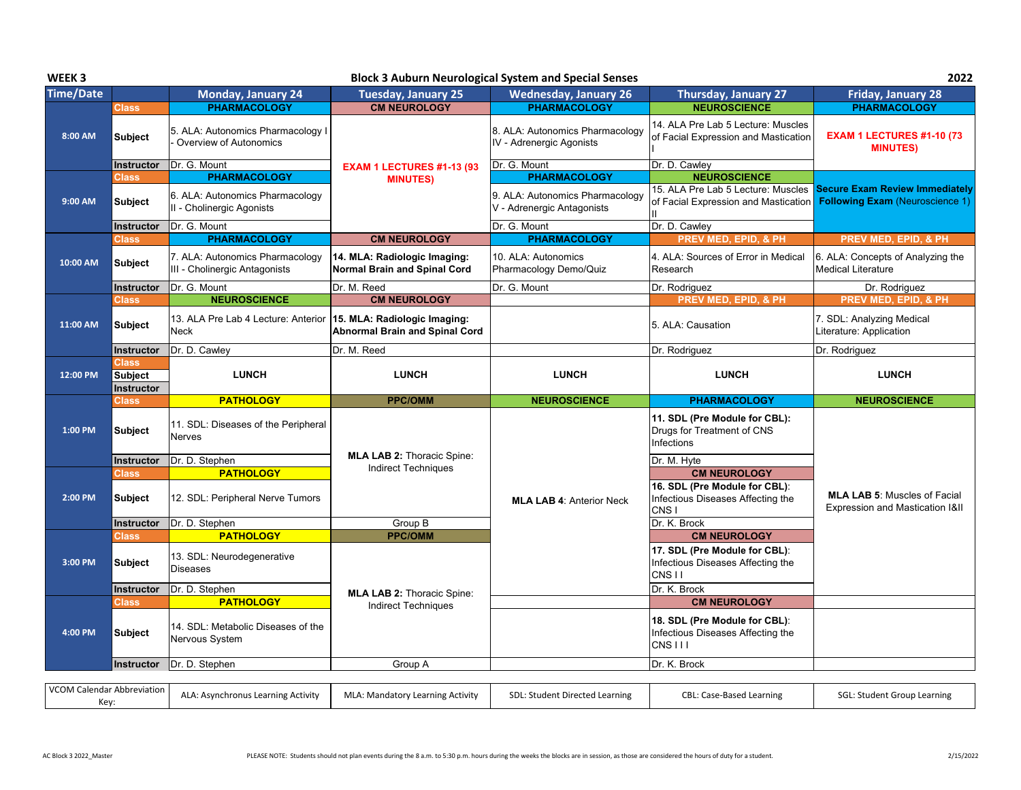| WEEK <sub>3</sub> |                         |                                                                          |                                                                       | <b>Block 3 Auburn Neurological System and Special Senses</b>  |                                                                                                  | 2022                                                                            |
|-------------------|-------------------------|--------------------------------------------------------------------------|-----------------------------------------------------------------------|---------------------------------------------------------------|--------------------------------------------------------------------------------------------------|---------------------------------------------------------------------------------|
| <b>Time/Date</b>  |                         | Monday, January 24                                                       | <b>Tuesday, January 25</b>                                            | <b>Wednesday, January 26</b>                                  | Thursday, January 27                                                                             | Friday, January 28                                                              |
|                   | <b>Class</b>            | <b>PHARMACOLOGY</b>                                                      | <b>CM NEUROLOGY</b>                                                   | <b>PHARMACOLOGY</b>                                           | <b>NEUROSCIENCE</b>                                                                              | <b>PHARMACOLOGY</b>                                                             |
| 8:00 AM           | <b>Subject</b>          | 5. ALA: Autonomics Pharmacology I<br>Overview of Autonomics              |                                                                       | 8. ALA: Autonomics Pharmacology<br>IV - Adrenergic Agonists   | 14. ALA Pre Lab 5 Lecture: Muscles<br>of Facial Expression and Mastication                       | <b>EXAM 1 LECTURES #1-10 (73</b><br><b>MINUTES)</b>                             |
|                   | Instructor              | Dr. G. Mount                                                             | <b>EXAM 1 LECTURES #1-13 (93</b>                                      | Dr. G. Mount                                                  | Dr. D. Cawley                                                                                    |                                                                                 |
|                   | <b>Class</b>            | <b>PHARMACOLOGY</b>                                                      | <b>MINUTES)</b>                                                       | <b>PHARMACOLOGY</b>                                           | <b>NEUROSCIENCE</b>                                                                              |                                                                                 |
| 9:00 AM           | <b>Subject</b>          | 6. ALA: Autonomics Pharmacology<br>II - Cholinergic Agonists             |                                                                       | 9. ALA: Autonomics Pharmacology<br>V - Adrenergic Antagonists | 15. ALA Pre Lab 5 Lecture: Muscles<br>of Facial Expression and Mastication                       | <b>Secure Exam Review Immediately</b><br><b>Following Exam (Neuroscience 1)</b> |
|                   | <b>Instructor</b>       | Dr. G. Mount                                                             |                                                                       | Dr. G. Mount                                                  | Dr. D. Cawley                                                                                    |                                                                                 |
|                   | Class                   | <b>PHARMACOLOGY</b>                                                      | <b>CM NEUROLOGY</b>                                                   | <b>PHARMACOLOGY</b>                                           | PREV MED, EPID, & PH                                                                             | <b>PREV MED, EPID, &amp; PH</b>                                                 |
| 10:00 AM          | Subject                 | 7. ALA: Autonomics Pharmacology<br>III - Cholinergic Antagonists         | 14. MLA: Radiologic Imaging:<br>Normal Brain and Spinal Cord          | 10. ALA: Autonomics<br>Pharmacology Demo/Quiz                 | 4. ALA: Sources of Error in Medical<br>Research                                                  | 6. ALA: Concepts of Analyzing the<br><b>Medical Literature</b>                  |
|                   | Instructor              | Dr. G. Mount                                                             | Dr. M. Reed                                                           | Dr. G. Mount                                                  | Dr. Rodriguez                                                                                    | Dr. Rodriguez                                                                   |
|                   | Class                   | <b>NEUROSCIENCE</b>                                                      | <b>CM NEUROLOGY</b>                                                   |                                                               | PREV MED, EPID, & PH                                                                             | PREV MED, EPID, & PH                                                            |
| 11:00 AM          | <b>Subject</b>          | 13. ALA Pre Lab 4 Lecture: Anterior<br><b>Neck</b>                       | 15. MLA: Radiologic Imaging:<br><b>Abnormal Brain and Spinal Cord</b> |                                                               | 5. ALA: Causation                                                                                | 7. SDL: Analyzing Medical<br>Literature: Application                            |
|                   | Instructor              | Dr. D. Cawley                                                            | Dr. M. Reed                                                           |                                                               | Dr. Rodriguez                                                                                    | Dr. Rodriguez                                                                   |
|                   | <b>Class</b>            |                                                                          |                                                                       |                                                               |                                                                                                  |                                                                                 |
| 12:00 PM          | <b>Subject</b>          | <b>LUNCH</b>                                                             | <b>LUNCH</b>                                                          | <b>LUNCH</b>                                                  | <b>LUNCH</b>                                                                                     | <b>LUNCH</b>                                                                    |
|                   |                         |                                                                          |                                                                       |                                                               |                                                                                                  |                                                                                 |
|                   | Instructor              |                                                                          |                                                                       |                                                               |                                                                                                  |                                                                                 |
| 1:00 PM           | Class<br><b>Subject</b> | <b>PATHOLOGY</b><br>11. SDL: Diseases of the Peripheral<br><b>Nerves</b> | <b>PPC/OMM</b>                                                        | <b>NEUROSCIENCE</b>                                           | <b>PHARMACOLOGY</b><br>11. SDL (Pre Module for CBL):<br>Drugs for Treatment of CNS<br>Infections | <b>NEUROSCIENCE</b>                                                             |
|                   | <b>Instructor</b>       | Dr. D. Stephen                                                           | <b>MLA LAB 2: Thoracic Spine:</b>                                     |                                                               |                                                                                                  |                                                                                 |
|                   | <b>Class</b>            | <b>PATHOLOGY</b>                                                         | <b>Indirect Techniques</b>                                            |                                                               | Dr. M. Hyte<br><b>CM NEUROLOGY</b>                                                               |                                                                                 |
| 2:00 PM           | <b>Subject</b>          | 12. SDL: Peripheral Nerve Tumors                                         |                                                                       | <b>MLA LAB 4: Anterior Neck</b>                               | 16. SDL (Pre Module for CBL):<br>Infectious Diseases Affecting the<br>CNS <sub>I</sub>           | <b>MLA LAB 5: Muscles of Facial</b><br>Expression and Mastication I&II          |
|                   | Instructor              | Dr. D. Stephen                                                           | Group B                                                               |                                                               | Dr. K. Brock                                                                                     |                                                                                 |
|                   | <b>Class</b>            | <b>PATHOLOGY</b>                                                         | <b>PPC/OMM</b>                                                        |                                                               | <b>CM NEUROLOGY</b>                                                                              |                                                                                 |
| 3:00 PM           | <b>Subject</b>          | 13. SDL: Neurodegenerative<br><b>Diseases</b>                            |                                                                       |                                                               | 17. SDL (Pre Module for CBL):<br>Infectious Diseases Affecting the<br>CNS <sub>II</sub>          |                                                                                 |
|                   | <b>Instructor</b>       | Dr. D. Stephen                                                           |                                                                       |                                                               | Dr. K. Brock                                                                                     |                                                                                 |
|                   | <b>Class</b>            | <b>PATHOLOGY</b>                                                         | <b>MLA LAB 2: Thoracic Spine:</b><br><b>Indirect Techniques</b>       |                                                               | <b>CM NEUROLOGY</b>                                                                              |                                                                                 |
| 4:00 PM           | <b>Subject</b>          | 14. SDL: Metabolic Diseases of the<br>Nervous System                     |                                                                       |                                                               | 18. SDL (Pre Module for CBL):<br>Infectious Diseases Affecting the<br><b>CNS III</b>             |                                                                                 |
|                   | Instructor              | Dr. D. Stephen                                                           | Group A                                                               |                                                               | Dr. K. Brock                                                                                     |                                                                                 |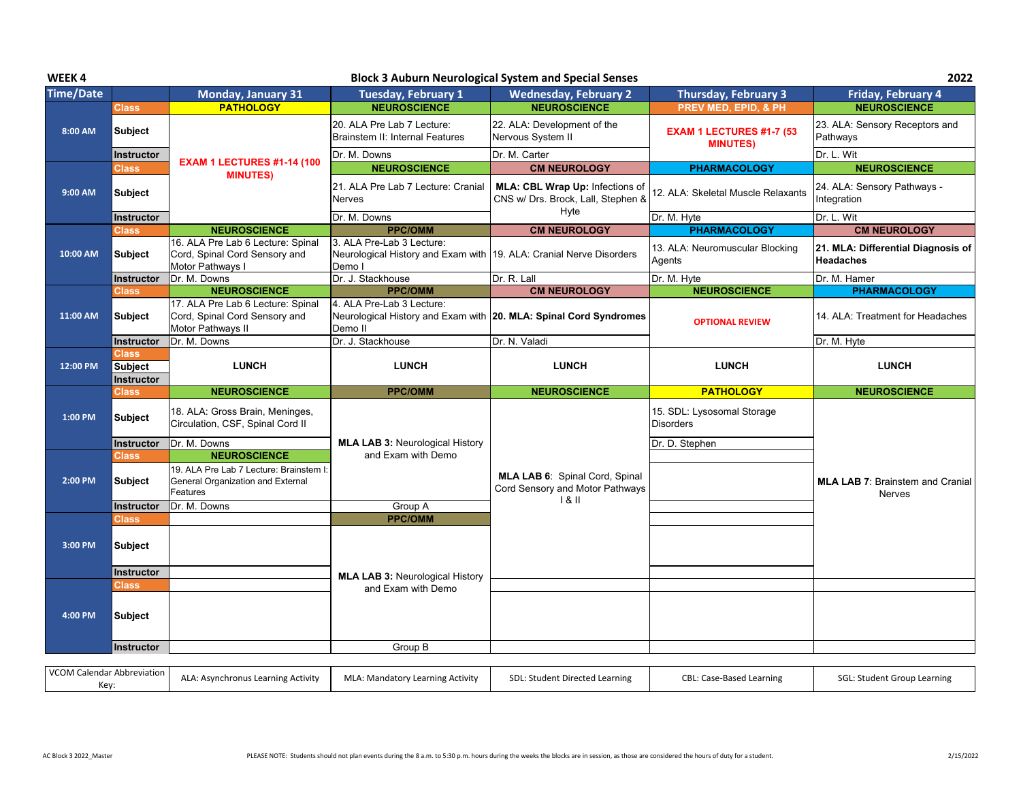| WEEK4            |                   |                                                                                          |                                                                                                            | <b>Block 3 Auburn Neurological System and Special Senses</b>                  |                                                | 2022                                                   |
|------------------|-------------------|------------------------------------------------------------------------------------------|------------------------------------------------------------------------------------------------------------|-------------------------------------------------------------------------------|------------------------------------------------|--------------------------------------------------------|
| <b>Time/Date</b> |                   | <b>Monday, January 31</b>                                                                | <b>Tuesday, February 1</b>                                                                                 | <b>Wednesday, February 2</b>                                                  | <b>Thursday, February 3</b>                    | Friday, February 4                                     |
|                  | <b>Class</b>      | <b>PATHOLOGY</b>                                                                         | <b>NEUROSCIENCE</b>                                                                                        | <b>NEUROSCIENCE</b>                                                           | PREV MED, EPID, & PH                           | <b>NEUROSCIENCE</b>                                    |
| 8:00 AM          | <b>Subject</b>    |                                                                                          | 20. ALA Pre Lab 7 Lecture:<br><b>Brainstem II: Internal Features</b>                                       | 22. ALA: Development of the<br>Nervous System II                              | EXAM 1 LECTURES #1-7 (53<br><b>MINUTES)</b>    | 23. ALA: Sensory Receptors and<br>Pathways             |
|                  | <b>Instructor</b> |                                                                                          | Dr. M. Downs                                                                                               | Dr. M. Carter                                                                 |                                                | Dr. L. Wit                                             |
|                  | Class             | <b>EXAM 1 LECTURES #1-14 (100</b><br><b>MINUTES)</b>                                     | <b>NEUROSCIENCE</b>                                                                                        | <b>CM NEUROLOGY</b>                                                           | <b>PHARMACOLOGY</b>                            | <b>NEUROSCIENCE</b>                                    |
| 9:00 AM          | <b>Subject</b>    |                                                                                          | 21. ALA Pre Lab 7 Lecture: Cranial<br><b>Nerves</b>                                                        | MLA: CBL Wrap Up: Infections of<br>CNS w/ Drs. Brock, Lall, Stephen &<br>Hyte | 12. ALA: Skeletal Muscle Relaxants             | 24. ALA: Sensory Pathways -<br>Integration             |
|                  | Instructor        |                                                                                          | Dr. M. Downs                                                                                               |                                                                               | Dr. M. Hyte                                    | Dr. L. Wit                                             |
|                  | Class             | <b>NEUROSCIENCE</b>                                                                      | <b>PPC/OMM</b>                                                                                             | <b>CM NEUROLOGY</b>                                                           | <b>PHARMACOLOGY</b>                            | <b>CM NEUROLOGY</b>                                    |
| 10:00 AM         | <b>Subject</b>    | 16. ALA Pre Lab 6 Lecture: Spinal<br>Cord, Spinal Cord Sensory and<br>Motor Pathways I   | 3. ALA Pre-Lab 3 Lecture:<br>Neurological History and Exam with 19. ALA: Cranial Nerve Disorders<br>Demo I |                                                                               | 13. ALA: Neuromuscular Blocking<br>Agents      | 21. MLA: Differential Diagnosis of<br><b>Headaches</b> |
|                  | Instructor        | Dr. M. Downs                                                                             | Dr. J. Stackhouse                                                                                          | Dr. R. Lall                                                                   | Dr. M. Hyte                                    | Dr. M. Hamer                                           |
|                  | Class             | <b>NEUROSCIENCE</b>                                                                      | <b>PPC/OMM</b>                                                                                             | <b>CM NEUROLOGY</b>                                                           | <b>NEUROSCIENCE</b>                            | <b>PHARMACOLOGY</b>                                    |
| 11:00 AM         | <b>Subject</b>    | 17. ALA Pre Lab 6 Lecture: Spinal<br>Cord, Spinal Cord Sensory and<br>Motor Pathways II  | 4. ALA Pre-Lab 3 Lecture:<br>Neurological History and Exam with 20. MLA: Spinal Cord Syndromes<br>Demo II  |                                                                               | <b>OPTIONAL REVIEW</b>                         | 14. ALA: Treatment for Headaches                       |
|                  | Instructor        | IDr. M. Downs                                                                            | Dr. J. Stackhouse                                                                                          | Dr. N. Valadi                                                                 |                                                | Dr. M. Hyte                                            |
|                  | <b>Class</b>      |                                                                                          |                                                                                                            |                                                                               |                                                |                                                        |
| 12:00 PM         | <b>Subject</b>    | <b>LUNCH</b>                                                                             | <b>LUNCH</b>                                                                                               | <b>LUNCH</b>                                                                  | <b>LUNCH</b>                                   | <b>LUNCH</b>                                           |
|                  |                   |                                                                                          |                                                                                                            |                                                                               |                                                |                                                        |
|                  | Instructor        |                                                                                          |                                                                                                            |                                                                               |                                                |                                                        |
|                  | Class             | <b>NEUROSCIENCE</b>                                                                      | <b>PPC/OMM</b>                                                                                             | <b>NEUROSCIENCE</b>                                                           | <b>PATHOLOGY</b>                               | <b>NEUROSCIENCE</b>                                    |
| 1:00 PM          | <b>Subject</b>    | 18. ALA: Gross Brain, Meninges,<br>Circulation, CSF, Spinal Cord II                      |                                                                                                            |                                                                               | 15. SDL: Lysosomal Storage<br><b>Disorders</b> |                                                        |
|                  | Instructor        | Dr. M. Downs                                                                             | <b>MLA LAB 3: Neurological History</b>                                                                     |                                                                               | Dr. D. Stephen                                 |                                                        |
|                  | Class             | <b>NEUROSCIENCE</b>                                                                      | and Exam with Demo                                                                                         |                                                                               |                                                |                                                        |
| 2:00 PM          | <b>Subject</b>    | 19. ALA Pre Lab 7 Lecture: Brainstem I:<br>General Organization and External<br>Features |                                                                                                            | MLA LAB 6: Spinal Cord, Spinal<br>Cord Sensory and Motor Pathways             |                                                | <b>MLA LAB 7: Brainstem and Cranial</b><br>Nerves      |
|                  | Instructor        | Dr. M. Downs                                                                             | Group A                                                                                                    | 181                                                                           |                                                |                                                        |
|                  | Class             |                                                                                          | <b>PPC/OMM</b>                                                                                             |                                                                               |                                                |                                                        |
| 3:00 PM          | <b>Subject</b>    |                                                                                          |                                                                                                            |                                                                               |                                                |                                                        |
|                  | Instructor        |                                                                                          |                                                                                                            |                                                                               |                                                |                                                        |
|                  | Class             |                                                                                          | <b>MLA LAB 3: Neurological History</b><br>and Exam with Demo                                               |                                                                               |                                                |                                                        |
| 4:00 PM          | <b>Subject</b>    |                                                                                          |                                                                                                            |                                                                               |                                                |                                                        |
|                  | <b>Instructor</b> |                                                                                          | Group B                                                                                                    |                                                                               |                                                |                                                        |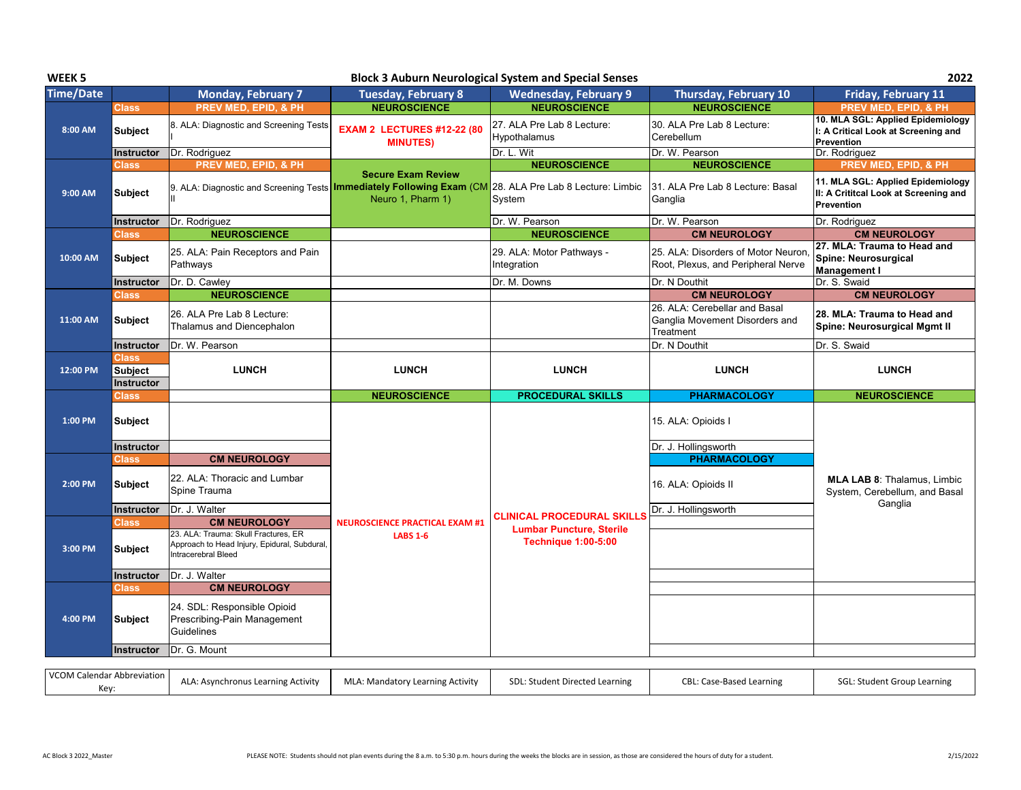| WEEK <sub>5</sub>          |                |                                                                                                             |                                                                                                                              | <b>Block 3 Auburn Neurological System and Special Senses</b>  |                                                                              | 2022                                                                                            |
|----------------------------|----------------|-------------------------------------------------------------------------------------------------------------|------------------------------------------------------------------------------------------------------------------------------|---------------------------------------------------------------|------------------------------------------------------------------------------|-------------------------------------------------------------------------------------------------|
| <b>Time/Date</b>           |                | <b>Monday, February 7</b>                                                                                   | <b>Tuesday, February 8</b>                                                                                                   | <b>Wednesday, February 9</b>                                  | Thursday, February 10                                                        | Friday, February 11                                                                             |
|                            | <b>Class</b>   | PREV MED, EPID, & PH                                                                                        | <b>NEUROSCIENCE</b>                                                                                                          | <b>NEUROSCIENCE</b>                                           | <b>NEUROSCIENCE</b>                                                          | PREV MED, EPID, & PH                                                                            |
| 8:00 AM                    | <b>Subject</b> | 8. ALA: Diagnostic and Screening Tests                                                                      | <b>EXAM 2 LECTURES #12-22 (80</b><br><b>MINUTES)</b>                                                                         | 27. ALA Pre Lab 8 Lecture:<br>Hypothalamus                    | 30. ALA Pre Lab 8 Lecture:<br>Cerebellum                                     | 10. MLA SGL: Applied Epidemiology<br>I: A Critical Look at Screening and<br>Prevention          |
|                            | Instructor     | Dr. Rodriguez                                                                                               |                                                                                                                              | Dr. L. Wit                                                    | Dr. W. Pearson                                                               | Dr. Rodriguez                                                                                   |
|                            | <b>Class</b>   | PREV MED, EPID, & PH                                                                                        | <b>Secure Exam Review</b>                                                                                                    | <b>NEUROSCIENCE</b>                                           | <b>NEUROSCIENCE</b>                                                          | PREV MED, EPID, & PH                                                                            |
| 9:00 AM                    | <b>Subject</b> |                                                                                                             | 9. ALA: Diagnostic and Screening Tests Immediately Following Exam (CM 28. ALA Pre Lab 8 Lecture: Limbic<br>Neuro 1, Pharm 1) | System                                                        | l31. ALA Pre Lab 8 Lecture: Basal<br>Ganglia                                 | 11. MLA SGL: Applied Epidemiology<br>II: A Crititcal Look at Screening and<br><b>Prevention</b> |
|                            | Instructor     | Dr. Rodriguez                                                                                               |                                                                                                                              | Dr. W. Pearson                                                | Dr. W. Pearson                                                               | Dr. Rodriguez                                                                                   |
|                            | <b>Class</b>   | <b>NEUROSCIENCE</b>                                                                                         |                                                                                                                              | <b>NEUROSCIENCE</b>                                           | <b>CM NEUROLOGY</b>                                                          | <b>CM NEUROLOGY</b>                                                                             |
| 10:00 AM                   | Subject        | 25. ALA: Pain Receptors and Pain<br>Pathways                                                                |                                                                                                                              | 29. ALA: Motor Pathways -<br>Integration                      | 25. ALA: Disorders of Motor Neuron<br>Root, Plexus, and Peripheral Nerve     | 27. MLA: Trauma to Head and<br>Spine: Neurosurgical<br><b>Management I</b>                      |
|                            | Instructor     | Dr. D. Cawley                                                                                               |                                                                                                                              | Dr. M. Downs                                                  | Dr. N Douthit                                                                | Dr. S. Swaid                                                                                    |
|                            | <b>Class</b>   | <b>NEUROSCIENCE</b>                                                                                         |                                                                                                                              |                                                               | <b>CM NEUROLOGY</b>                                                          | <b>CM NEUROLOGY</b>                                                                             |
| 11:00 AM                   | <b>Subject</b> | 26. ALA Pre Lab 8 Lecture:<br>Thalamus and Diencephalon                                                     |                                                                                                                              |                                                               | 26. ALA: Cerebellar and Basal<br>Ganglia Movement Disorders and<br>Treatment | 28. MLA: Trauma to Head and<br>Spine: Neurosurgical Mgmt II                                     |
|                            | Instructor     | Dr. W. Pearson                                                                                              |                                                                                                                              |                                                               | Dr. N Douthit                                                                | Dr. S. Swaid                                                                                    |
|                            | <b>Class</b>   |                                                                                                             |                                                                                                                              |                                                               |                                                                              |                                                                                                 |
| 12:00 PM                   | <b>Subject</b> | <b>LUNCH</b>                                                                                                | <b>LUNCH</b>                                                                                                                 | <b>LUNCH</b>                                                  | <b>LUNCH</b>                                                                 | <b>LUNCH</b>                                                                                    |
|                            |                |                                                                                                             |                                                                                                                              |                                                               |                                                                              |                                                                                                 |
|                            | Instructor     |                                                                                                             |                                                                                                                              |                                                               |                                                                              |                                                                                                 |
|                            | <b>Class</b>   |                                                                                                             | <b>NEUROSCIENCE</b>                                                                                                          | <b>PROCEDURAL SKILLS</b>                                      | <b>PHARMACOLOGY</b>                                                          | <b>NEUROSCIENCE</b>                                                                             |
| 1:00 PM                    | <b>Subject</b> |                                                                                                             |                                                                                                                              |                                                               | 15. ALA: Opioids I                                                           |                                                                                                 |
|                            | Instructor     |                                                                                                             |                                                                                                                              |                                                               | Dr. J. Hollingsworth                                                         |                                                                                                 |
|                            | <b>Class</b>   | <b>CM NEUROLOGY</b>                                                                                         |                                                                                                                              |                                                               | <b>PHARMACOLOGY</b>                                                          |                                                                                                 |
| 2:00 PM                    | Subject        | 22. ALA: Thoracic and Lumbar<br>Spine Trauma                                                                |                                                                                                                              |                                                               | 16. ALA: Opioids II                                                          | <b>MLA LAB 8: Thalamus, Limbic</b><br>System, Cerebellum, and Basal                             |
|                            | Instructor     | Dr. J. Walter                                                                                               |                                                                                                                              |                                                               | Dr. J. Hollingsworth                                                         | Ganglia                                                                                         |
|                            | <b>Class</b>   | <b>CM NEUROLOGY</b>                                                                                         | <b>NEUROSCIENCE PRACTICAL EXAM #1</b>                                                                                        | <b>CLINICAL PROCEDURAL SKILLS</b>                             |                                                                              |                                                                                                 |
| 3:00 PM                    | <b>Subject</b> | 23. ALA: Trauma: Skull Fractures. ER<br>Approach to Head Injury, Epidural, Subdural,<br>Intracerebral Bleed | <b>LABS 1-6</b>                                                                                                              | <b>Lumbar Puncture, Sterile</b><br><b>Technique 1:00-5:00</b> |                                                                              |                                                                                                 |
|                            | Instructor     | Dr. J. Walter                                                                                               |                                                                                                                              |                                                               |                                                                              |                                                                                                 |
|                            | <b>Class</b>   | <b>CM NEUROLOGY</b>                                                                                         |                                                                                                                              |                                                               |                                                                              |                                                                                                 |
| 4:00 PM                    | <b>Subject</b> | 24. SDL: Responsible Opioid<br>Prescribing-Pain Management<br>Guidelines                                    |                                                                                                                              |                                                               |                                                                              |                                                                                                 |
|                            | Instructor     | Dr. G. Mount                                                                                                |                                                                                                                              |                                                               |                                                                              |                                                                                                 |
| VCOM Calendar Abbreviation |                |                                                                                                             |                                                                                                                              |                                                               |                                                                              |                                                                                                 |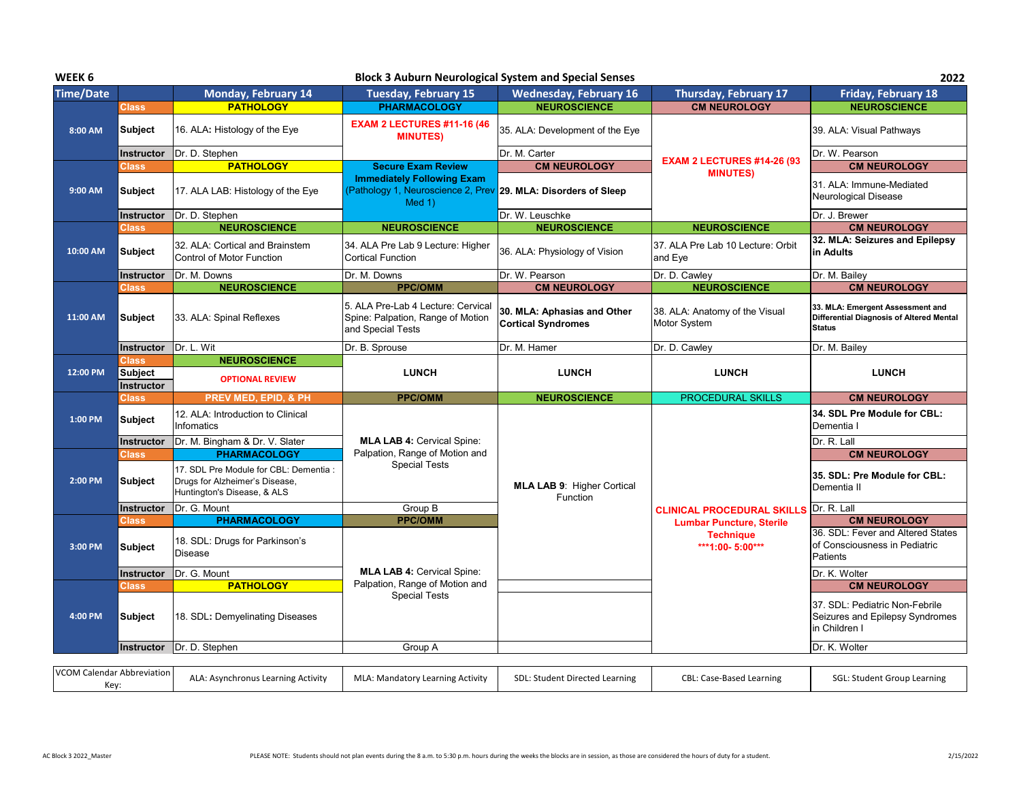| WEEK <sub>6</sub> |                                     |                                                                                                         | <b>Block 3 Auburn Neurological System and Special Senses</b>                                                            |                                                          |                                                     | 2022                                                                                          |
|-------------------|-------------------------------------|---------------------------------------------------------------------------------------------------------|-------------------------------------------------------------------------------------------------------------------------|----------------------------------------------------------|-----------------------------------------------------|-----------------------------------------------------------------------------------------------|
| <b>Time/Date</b>  |                                     | Monday, February 14                                                                                     | <b>Tuesday, February 15</b>                                                                                             | <b>Wednesday, February 16</b>                            | Thursday, February 17                               | Friday, February 18                                                                           |
|                   | <b>Class</b>                        | <b>PATHOLOGY</b>                                                                                        | <b>PHARMACOLOGY</b>                                                                                                     | <b>NEUROSCIENCE</b>                                      | <b>CM NEUROLOGY</b>                                 | <b>NEUROSCIENCE</b>                                                                           |
| 8:00 AM           | <b>Subject</b>                      | 16. ALA: Histology of the Eye                                                                           | <b>EXAM 2 LECTURES #11-16 (46</b><br><b>MINUTES)</b>                                                                    | 35. ALA: Development of the Eye                          |                                                     | 39. ALA: Visual Pathways                                                                      |
|                   | <b>Instructor</b>                   | Dr. D. Stephen                                                                                          |                                                                                                                         | Dr. M. Carter                                            |                                                     | Dr. W. Pearson                                                                                |
|                   | Class                               | <b>PATHOLOGY</b>                                                                                        | <b>Secure Exam Review</b>                                                                                               | <b>CM NEUROLOGY</b>                                      | <b>EXAM 2 LECTURES #14-26 (93)</b>                  | <b>CM NEUROLOGY</b>                                                                           |
| 9:00 AM           | <b>Subject</b>                      | 17. ALA LAB: Histology of the Eye                                                                       | <b>Immediately Following Exam</b><br>(Pathology 1, Neuroscience 2, Prev 29. MLA: Disorders of Sleep<br>Med <sub>1</sub> |                                                          | <b>MINUTES)</b>                                     | 31. ALA: Immune-Mediated<br>Neurological Disease                                              |
|                   | <b>Instructor</b>                   | Dr. D. Stephen                                                                                          |                                                                                                                         | Dr. W. Leuschke                                          |                                                     | Dr. J. Brewer                                                                                 |
|                   | <b>Class</b>                        | <b>NEUROSCIENCE</b>                                                                                     | <b>NEUROSCIENCE</b>                                                                                                     | <b>NEUROSCIENCE</b>                                      | <b>NEUROSCIENCE</b>                                 | <b>CM NEUROLOGY</b>                                                                           |
| 10:00 AM          | <b>Subject</b>                      | 32. ALA: Cortical and Brainstem<br><b>Control of Motor Function</b>                                     | 34. ALA Pre Lab 9 Lecture: Higher<br><b>Cortical Function</b>                                                           | 36. ALA: Physiology of Vision                            | 37. ALA Pre Lab 10 Lecture: Orbit<br>and Eye        | 32. MLA: Seizures and Epilepsy<br>in Adults                                                   |
|                   | <b>Instructor</b>                   | Dr. M. Downs                                                                                            | Dr. M. Downs                                                                                                            | Dr. W. Pearson                                           | Dr. D. Cawley                                       | Dr. M. Bailey                                                                                 |
|                   | <b>Class</b>                        | <b>NEUROSCIENCE</b>                                                                                     | <b>PPC/OMM</b>                                                                                                          | <b>CM NEUROLOGY</b>                                      | <b>NEUROSCIENCE</b>                                 | <b>CM NEUROLOGY</b>                                                                           |
| 11:00 AM          | <b>Subject</b>                      | 33. ALA: Spinal Reflexes                                                                                | 5. ALA Pre-Lab 4 Lecture: Cervical<br>Spine: Palpation, Range of Motion<br>and Special Tests                            | 30. MLA: Aphasias and Other<br><b>Cortical Syndromes</b> | 38. ALA: Anatomy of the Visual<br>Motor System      | 33. MLA: Emergent Assessment and<br>Differential Diagnosis of Altered Mental<br><b>Status</b> |
|                   | <b>Instructor</b>                   | Dr. L. Wit                                                                                              | Dr. B. Sprouse                                                                                                          | Dr. M. Hamer                                             | Dr. D. Cawley                                       | Dr. M. Bailey                                                                                 |
|                   | <b>Class</b>                        | <b>NEUROSCIENCE</b>                                                                                     |                                                                                                                         |                                                          |                                                     |                                                                                               |
| 12:00 PM          | <b>Subject</b><br><b>Instructor</b> | <b>OPTIONAL REVIEW</b>                                                                                  | <b>LUNCH</b>                                                                                                            | <b>LUNCH</b>                                             | <b>LUNCH</b>                                        | <b>LUNCH</b>                                                                                  |
|                   | <b>Class</b>                        | <b>PREV MED, EPID, &amp; PH</b>                                                                         | <b>PPC/OMM</b>                                                                                                          | <b>NEUROSCIENCE</b>                                      | <b>PROCEDURAL SKILLS</b>                            | <b>CM NEUROLOGY</b>                                                                           |
| 1:00 PM           | <b>Subject</b>                      | 12. ALA: Introduction to Clinical<br>Infomatics                                                         |                                                                                                                         |                                                          |                                                     | 34. SDL Pre Module for CBL:<br>Dementia I                                                     |
|                   | <b>Instructor</b>                   | Dr. M. Bingham & Dr. V. Slater                                                                          | <b>MLA LAB 4: Cervical Spine:</b>                                                                                       |                                                          |                                                     | Dr. R. Lall                                                                                   |
|                   | <b>Class</b>                        | <b>PHARMACOLOGY</b>                                                                                     | Palpation, Range of Motion and                                                                                          |                                                          |                                                     | <b>CM NEUROLOGY</b>                                                                           |
| 2:00 PM           | <b>Subject</b>                      | 17. SDL Pre Module for CBL: Dementia :<br>Drugs for Alzheimer's Disease,<br>Huntington's Disease, & ALS | <b>Special Tests</b>                                                                                                    | <b>MLA LAB 9: Higher Cortical</b><br>Function            |                                                     | 35. SDL: Pre Module for CBL:<br>Dementia II                                                   |
|                   | <b>Instructor</b>                   | Dr. G. Mount                                                                                            | Group B                                                                                                                 |                                                          | <b>CLINICAL PROCEDURAL SKILLS</b>                   | Dr. R. Lall                                                                                   |
|                   | <b>Class</b>                        | <b>PHARMACOLOGY</b>                                                                                     | <b>PPC/OMM</b>                                                                                                          |                                                          | <b>Lumbar Puncture, Sterile</b><br><b>Technique</b> | <b>CM NEUROLOGY</b><br>36. SDL: Fever and Altered States                                      |
| 3:00 PM           | <b>Subject</b>                      | 18. SDL: Drugs for Parkinson's<br>Disease                                                               |                                                                                                                         |                                                          | ***1:00-5:00***                                     | of Consciousness in Pediatric<br>Patients                                                     |
|                   | <b>Instructor</b>                   | Dr. G. Mount                                                                                            | <b>MLA LAB 4: Cervical Spine:</b>                                                                                       |                                                          |                                                     | Dr. K. Wolter                                                                                 |
|                   | <b>Class</b>                        | <b>PATHOLOGY</b>                                                                                        | Palpation, Range of Motion and                                                                                          |                                                          |                                                     | <b>CM NEUROLOGY</b>                                                                           |
| 4:00 PM           | <b>Subject</b>                      | 18. SDL: Demyelinating Diseases                                                                         | <b>Special Tests</b>                                                                                                    |                                                          |                                                     | 37. SDL: Pediatric Non-Febrile<br>Seizures and Epilepsy Syndromes<br>In Children I            |
|                   | <b>Instructor</b>                   | Dr. D. Stephen                                                                                          | Group A                                                                                                                 |                                                          |                                                     | Dr. K. Wolter                                                                                 |
|                   |                                     |                                                                                                         |                                                                                                                         |                                                          |                                                     |                                                                                               |
|                   | <b>VCOM Calendar Abbreviation</b>   | ALA: Asynchronus Learning Activity                                                                      | MLA: Mandatory Learning Activity                                                                                        | SDL: Student Directed Learning                           | <b>CBL: Case-Based Learning</b>                     | SGL: Student Group Learning                                                                   |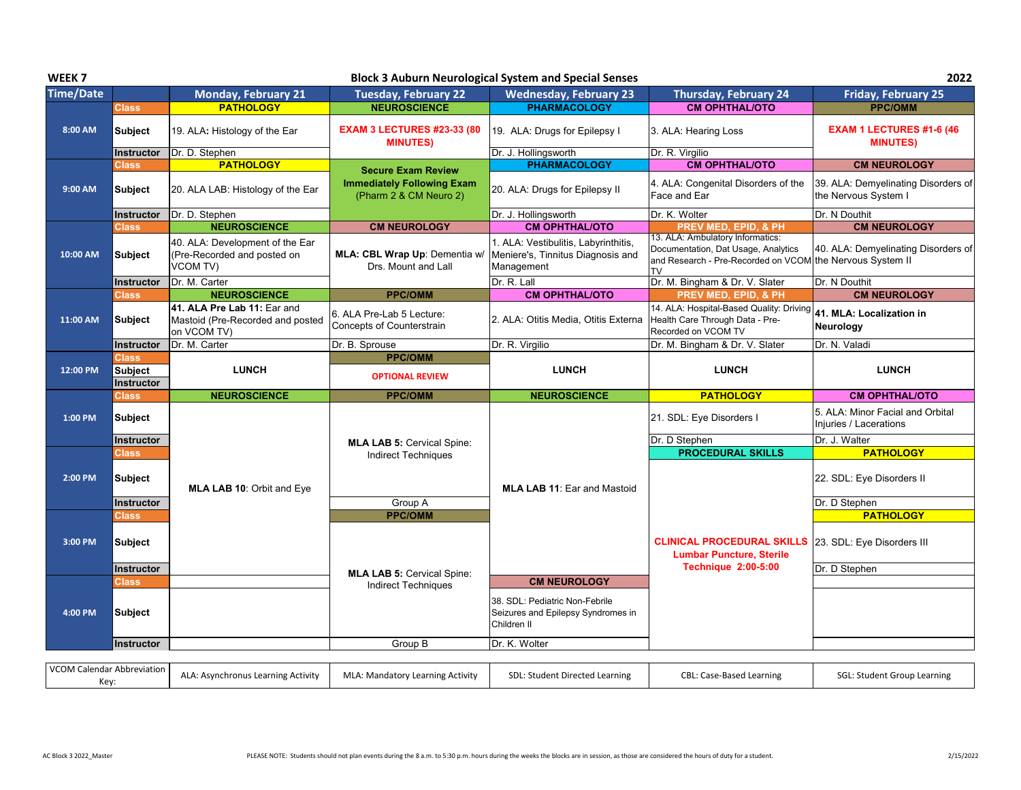| WEEK <sub>7</sub> |                                       |                                                                                |                                                                 | <b>Block 3 Auburn Neurological System and Special Senses</b>                            |                                                                                                                                                   | 2022                                                        |
|-------------------|---------------------------------------|--------------------------------------------------------------------------------|-----------------------------------------------------------------|-----------------------------------------------------------------------------------------|---------------------------------------------------------------------------------------------------------------------------------------------------|-------------------------------------------------------------|
| <b>Time/Date</b>  |                                       | <b>Monday, February 21</b>                                                     | <b>Tuesday, February 22</b>                                     | <b>Wednesday, February 23</b>                                                           | <b>Thursday, February 24</b>                                                                                                                      | <b>Friday, February 25</b>                                  |
|                   | <b>Class</b>                          | <b>PATHOLOGY</b>                                                               | <b>NEUROSCIENCE</b>                                             | <b>PHARMACOLOGY</b>                                                                     | <b>CM OPHTHAL/OTO</b>                                                                                                                             | <b>PPC/OMM</b>                                              |
| 8:00 AM           | <b>Subject</b>                        | 19. ALA: Histology of the Ear                                                  | <b>EXAM 3 LECTURES #23-33 (80</b><br><b>MINUTES)</b>            | 19. ALA: Drugs for Epilepsy I                                                           | 3. ALA: Hearing Loss                                                                                                                              | EXAM 1 LECTURES #1-6 (46<br><b>MINUTES)</b>                 |
|                   | <b>Instructor</b>                     | Dr. D. Stephen                                                                 |                                                                 | Dr. J. Hollingsworth                                                                    | Dr. R. Virgilio                                                                                                                                   |                                                             |
|                   | Class                                 | <b>PATHOLOGY</b>                                                               | <b>Secure Exam Review</b>                                       | <b>PHARMACOLOGY</b>                                                                     | <b>CM OPHTHAL/OTO</b>                                                                                                                             | <b>CM NEUROLOGY</b>                                         |
| 9:00 AM           | <b>Subject</b>                        | 20. ALA LAB: Histology of the Ear                                              | <b>Immediately Following Exam</b><br>(Pharm 2 & CM Neuro 2)     | 20. ALA: Drugs for Epilepsy II                                                          | 4. ALA: Congenital Disorders of the<br>Face and Ear                                                                                               | 39. ALA: Demyelinating Disorders of<br>the Nervous System I |
|                   | <b>Instructor</b>                     | Dr. D. Stephen                                                                 |                                                                 | Dr. J. Hollingsworth                                                                    | Dr. K. Wolter                                                                                                                                     | Dr. N Douthit                                               |
|                   | <b>Class</b>                          | <b>NEUROSCIENCE</b>                                                            | <b>CM NEUROLOGY</b>                                             | <b>CM OPHTHAL/OTO</b>                                                                   | PREV MED, EPID, & PH                                                                                                                              | <b>CM NEUROLOGY</b>                                         |
| 10:00 AM          | <b>Subject</b>                        | 40. ALA: Development of the Ear<br>(Pre-Recorded and posted on<br>VCOM TV)     | MLA: CBL Wrap Up: Dementia w/<br>Drs. Mount and Lall            | 1. ALA: Vestibulitis, Labyrinthitis,<br>Meniere's, Tinnitus Diagnosis and<br>Management | 13. ALA: Ambulatory Informatics:<br>Documentation, Dat Usage, Analytics<br>and Research - Pre-Recorded on VCOM the Nervous System II<br><b>TV</b> | 40. ALA: Demyelinating Disorders of                         |
|                   | <b>Instructor</b>                     | Dr. M. Carter                                                                  |                                                                 | Dr. R. Lall                                                                             | Dr. M. Bingham & Dr. V. Slater                                                                                                                    | Dr. N Douthit                                               |
|                   | <b>Class</b>                          | <b>NEUROSCIENCE</b>                                                            | <b>PPC/OMM</b>                                                  | <b>CM OPHTHAL/OTO</b>                                                                   | PREV MED, EPID, & PH                                                                                                                              | <b>CM NEUROLOGY</b>                                         |
| 11:00 AM          | <b>Subject</b>                        | 41. ALA Pre Lab 11: Ear and<br>Mastoid (Pre-Recorded and posted<br>on VCOM TV) | 6. ALA Pre-Lab 5 Lecture:<br>Concepts of Counterstrain          | 2. ALA: Otitis Media, Otitis Externa                                                    | 14. ALA: Hospital-Based Quality: Driving<br>Health Care Through Data - Pre-<br>Recorded on VCOM TV                                                | 41. MLA: Localization in<br>Neurology                       |
|                   | <b>Instructor</b>                     | Dr. M. Carter                                                                  | Dr. B. Sprouse                                                  | Dr. R. Virgilio                                                                         | Dr. M. Bingham & Dr. V. Slater                                                                                                                    | Dr. N. Valadi                                               |
| 12:00 PM          | Class<br><b>Subject</b><br>Instructor | <b>LUNCH</b>                                                                   | <b>PPC/OMM</b><br><b>OPTIONAL REVIEW</b>                        | <b>LUNCH</b>                                                                            | <b>LUNCH</b>                                                                                                                                      | <b>LUNCH</b>                                                |
|                   | Class                                 | <b>NEUROSCIENCE</b>                                                            | <b>PPC/OMM</b>                                                  | <b>NEUROSCIENCE</b>                                                                     | <b>PATHOLOGY</b>                                                                                                                                  | <b>CM OPHTHAL/OTO</b>                                       |
| 1:00 PM           | Subject                               |                                                                                |                                                                 |                                                                                         | 21. SDL: Eye Disorders I                                                                                                                          | 5. ALA: Minor Facial and Orbital                            |
|                   | <b>Instructor</b>                     |                                                                                |                                                                 |                                                                                         |                                                                                                                                                   | Injuries / Lacerations                                      |
|                   |                                       |                                                                                |                                                                 |                                                                                         | Dr. D Stephen                                                                                                                                     | Dr. J. Walter                                               |
|                   | <b>Class</b>                          |                                                                                | <b>MLA LAB 5: Cervical Spine:</b><br><b>Indirect Techniques</b> |                                                                                         | <b>PROCEDURAL SKILLS</b>                                                                                                                          | <b>PATHOLOGY</b>                                            |
| 2:00 PM           | <b>Subject</b>                        | MLA LAB 10: Orbit and Eye                                                      |                                                                 | <b>MLA LAB 11: Ear and Mastoid</b>                                                      |                                                                                                                                                   | 22. SDL: Eye Disorders II                                   |
|                   | <b>Instructor</b>                     |                                                                                | Group A                                                         |                                                                                         |                                                                                                                                                   | Dr. D Stephen                                               |
|                   | Class                                 |                                                                                | <b>PPC/OMM</b>                                                  |                                                                                         |                                                                                                                                                   | <b>PATHOLOGY</b>                                            |
| 3:00 PM           | <b>Subject</b>                        |                                                                                |                                                                 |                                                                                         | <b>CLINICAL PROCEDURAL SKILLS</b> 23. SDL: Eye Disorders III<br><b>Lumbar Puncture, Sterile</b>                                                   |                                                             |
|                   | Instructor                            |                                                                                |                                                                 |                                                                                         | <b>Technique 2:00-5:00</b>                                                                                                                        | Dr. D Stephen                                               |
|                   | Class                                 |                                                                                | <b>MLA LAB 5: Cervical Spine:</b><br><b>Indirect Techniques</b> | <b>CM NEUROLOGY</b>                                                                     |                                                                                                                                                   |                                                             |
| 4:00 PM           | <b>Subject</b>                        |                                                                                |                                                                 | 38. SDL: Pediatric Non-Febrile<br>Seizures and Epilepsy Syndromes in<br>Children II     |                                                                                                                                                   |                                                             |
|                   | <b>Instructor</b>                     |                                                                                | Group B                                                         | Dr. K. Wolter                                                                           |                                                                                                                                                   |                                                             |

| VCOM Calendar Abbreviation |                                    |                                         |                                |                          |                             |
|----------------------------|------------------------------------|-----------------------------------------|--------------------------------|--------------------------|-----------------------------|
|                            | ALA: Asynchronus Learning Activity | <b>MLA: Mandatory Learning Activity</b> | SDL: Student Directed Learning | CBL: Case-Based Learning | SGL: Student Group Learning |
| Kev                        |                                    |                                         |                                |                          |                             |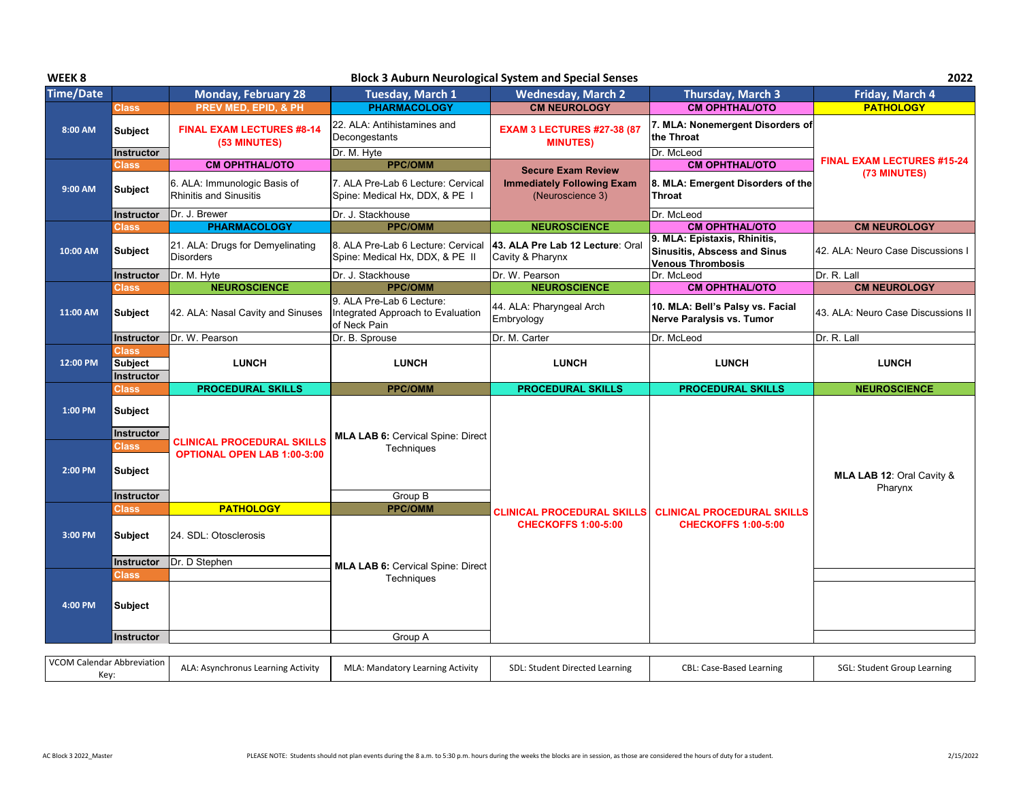| WEEK <sub>8</sub> | <b>Block 3 Auburn Neurological System and Special Senses</b> |                                                               |                                                                                |                                                                 |                                                                                                 |                                      |
|-------------------|--------------------------------------------------------------|---------------------------------------------------------------|--------------------------------------------------------------------------------|-----------------------------------------------------------------|-------------------------------------------------------------------------------------------------|--------------------------------------|
| <b>Time/Date</b>  |                                                              | <b>Monday, February 28</b>                                    | <b>Tuesday, March 1</b>                                                        | <b>Wednesday, March 2</b>                                       | Thursday, March 3                                                                               | Friday, March 4                      |
|                   | <b>Class</b>                                                 | PREV MED, EPID, & PH                                          | <b>PHARMACOLOGY</b>                                                            | <b>CM NEUROLOGY</b>                                             | <b>CM OPHTHAL/OTO</b>                                                                           | <b>PATHOLOGY</b>                     |
| 8:00 AM           | <b>Subject</b>                                               | <b>FINAL EXAM LECTURES #8-14</b><br>(53 MINUTES)              | 22. ALA: Antihistamines and<br>Decongestants                                   | <b>EXAM 3 LECTURES #27-38 (87</b><br><b>MINUTES)</b>            | 7. MLA: Nonemergent Disorders of<br>the Throat                                                  |                                      |
|                   | Instructor                                                   |                                                               | Dr. M. Hyte                                                                    |                                                                 | Dr. McLeod                                                                                      | <b>FINAL EXAM LECTURES #15-24</b>    |
|                   | <b>Class</b>                                                 | <b>CM OPHTHAL/OTO</b>                                         | <b>PPC/OMM</b>                                                                 | <b>Secure Exam Review</b>                                       | <b>CM OPHTHAL/OTO</b>                                                                           | (73 MINUTES)                         |
| 9:00 AM           | Subject                                                      | 6. ALA: Immunologic Basis of<br><b>Rhinitis and Sinusitis</b> | 7. ALA Pre-Lab 6 Lecture: Cervical<br>Spine: Medical Hx, DDX, & PE I           | <b>Immediately Following Exam</b><br>(Neuroscience 3)           | 8. MLA: Emergent Disorders of the<br>Throat                                                     |                                      |
|                   | Instructor                                                   | Dr. J. Brewer                                                 | Dr. J. Stackhouse                                                              |                                                                 | Dr. McLeod                                                                                      |                                      |
|                   | Class                                                        | <b>PHARMACOLOGY</b>                                           | <b>PPC/OMM</b>                                                                 | <b>NEUROSCIENCE</b>                                             | <b>CM OPHTHAL/OTO</b>                                                                           | <b>CM NEUROLOGY</b>                  |
| 10:00 AM          | <b>Subject</b>                                               | 21. ALA: Drugs for Demyelinating<br><b>Disorders</b>          | 8. ALA Pre-Lab 6 Lecture: Cervical<br>Spine: Medical Hx, DDX, & PE II          | 43. ALA Pre Lab 12 Lecture: Oral<br>Cavity & Pharynx            | 9. MLA: Epistaxis, Rhinitis,<br><b>Sinusitis, Abscess and Sinus</b><br><b>Venous Thrombosis</b> | 42. ALA: Neuro Case Discussions I    |
|                   | <b>Instructor</b>                                            | Dr. M. Hyte                                                   | Dr. J. Stackhouse                                                              | Dr. W. Pearson                                                  | Dr. McLeod                                                                                      | Dr. R. Lall                          |
|                   | <b>Class</b>                                                 | <b>NEUROSCIENCE</b>                                           | <b>PPC/OMM</b>                                                                 | <b>NEUROSCIENCE</b>                                             | <b>CM OPHTHAL/OTO</b>                                                                           | <b>CM NEUROLOGY</b>                  |
| 11:00 AM          | Subject                                                      | 42. ALA: Nasal Cavity and Sinuses                             | 9. ALA Pre-Lab 6 Lecture:<br>Integrated Approach to Evaluation<br>of Neck Pain | 44. ALA: Pharyngeal Arch<br>Embryology                          | 10. MLA: Bell's Palsy vs. Facial<br>Nerve Paralysis vs. Tumor                                   | 43. ALA: Neuro Case Discussions II   |
|                   | Instructor                                                   | Dr. W. Pearson                                                | Dr. B. Sprouse                                                                 | Dr. M. Carter                                                   | Dr. McLeod                                                                                      | Dr. R. Lall                          |
| 12:00 PM          | <b>Class</b><br><b>Subject</b><br>Instructor                 | <b>LUNCH</b>                                                  | <b>LUNCH</b>                                                                   | <b>LUNCH</b>                                                    | <b>LUNCH</b>                                                                                    | <b>LUNCH</b>                         |
|                   | <b>Class</b>                                                 | <b>PROCEDURAL SKILLS</b>                                      | <b>PPC/OMM</b>                                                                 | <b>PROCEDURAL SKILLS</b>                                        | <b>PROCEDURAL SKILLS</b>                                                                        | <b>NEUROSCIENCE</b>                  |
| 1:00 PM           | <b>Subject</b><br><b>Instructor</b>                          | <b>CLINICAL PROCEDURAL SKILLS</b>                             | <b>MLA LAB 6: Cervical Spine: Direct</b>                                       |                                                                 |                                                                                                 |                                      |
| 2:00 PM           | <b>Class</b><br><b>Subject</b>                               | <b>OPTIONAL OPEN LAB 1:00-3:00</b>                            | Techniques<br>Group B                                                          |                                                                 |                                                                                                 | MLA LAB 12: Oral Cavity &<br>Pharynx |
|                   | Instructor<br><b>Class</b>                                   | <b>PATHOLOGY</b>                                              | <b>PPC/OMM</b>                                                                 |                                                                 |                                                                                                 |                                      |
| 3:00 PM           | Subject                                                      | 24. SDL: Otosclerosis                                         |                                                                                | <b>CLINICAL PROCEDURAL SKILLS</b><br><b>CHECKOFFS 1:00-5:00</b> | <b>CLINICAL PROCEDURAL SKILLS</b><br><b>CHECKOFFS 1:00-5:00</b>                                 |                                      |
|                   |                                                              | Dr. D Stephen                                                 |                                                                                |                                                                 |                                                                                                 |                                      |
|                   | Instructor                                                   |                                                               | MLA LAB 6: Cervical Spine: Direct                                              |                                                                 |                                                                                                 |                                      |
|                   | <b>Class</b>                                                 |                                                               |                                                                                |                                                                 |                                                                                                 |                                      |
| 4:00 PM           | <b>Subject</b>                                               |                                                               | Techniques                                                                     |                                                                 |                                                                                                 |                                      |
|                   | Instructor                                                   |                                                               | Group A                                                                        |                                                                 |                                                                                                 |                                      |

| VCOM Calendar<br>r Abbreviation<br><b>1.</b><br>NUV | nus Learning Activity<br>vnchror<br>$A \setminus V$ | <b>MLA: Mandatory Learning Activity</b> | <b>CDI</b><br>SDL: Student Directed Learning | CBL: 1<br>Case-Based Learning | SGL:<br>' : Student Group Learning |  |
|-----------------------------------------------------|-----------------------------------------------------|-----------------------------------------|----------------------------------------------|-------------------------------|------------------------------------|--|
|-----------------------------------------------------|-----------------------------------------------------|-----------------------------------------|----------------------------------------------|-------------------------------|------------------------------------|--|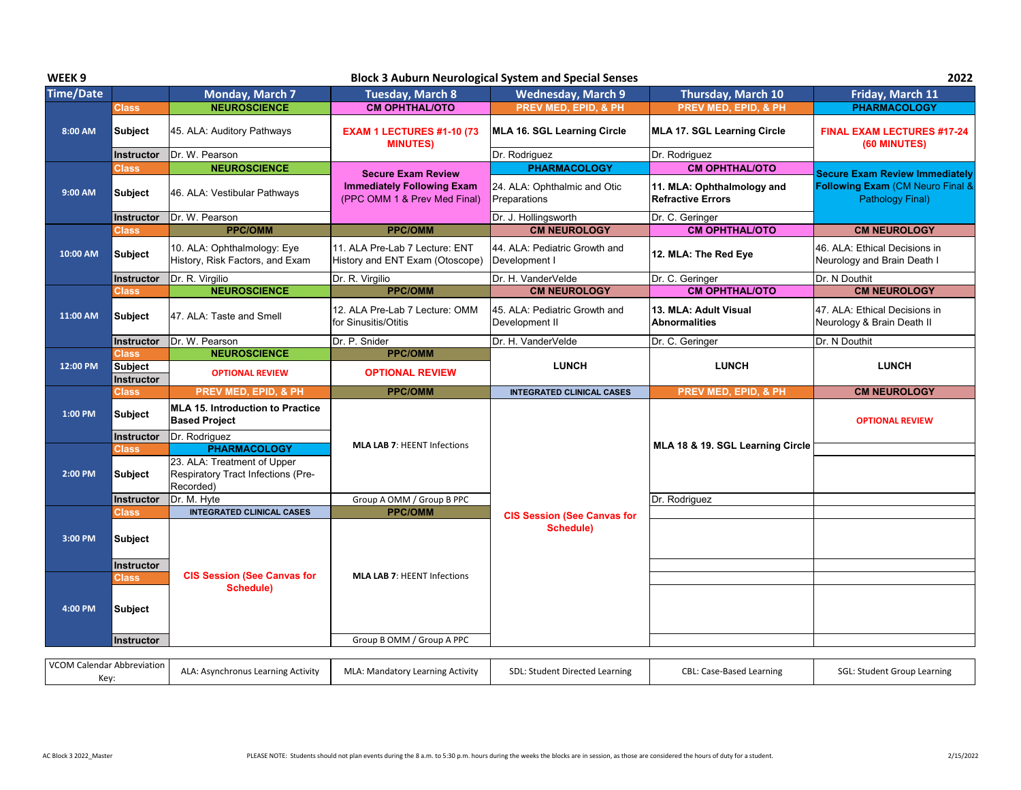| WEEK <sub>9</sub> |                   |                                                                                |                                                                   | <b>Block 3 Auburn Neurological System and Special Senses</b> |                                                        | 2022                                                            |
|-------------------|-------------------|--------------------------------------------------------------------------------|-------------------------------------------------------------------|--------------------------------------------------------------|--------------------------------------------------------|-----------------------------------------------------------------|
| <b>Time/Date</b>  |                   | Monday, March 7                                                                | <b>Tuesday, March 8</b>                                           | <b>Wednesday, March 9</b>                                    | Thursday, March 10                                     | Friday, March 11                                                |
|                   | Class             | <b>NEUROSCIENCE</b>                                                            | <b>CM OPHTHAL/OTO</b>                                             | PREV MED, EPID, & PH                                         | PREV MED, EPID, & PH                                   | <b>PHARMACOLOGY</b>                                             |
| 8:00 AM           | Subject           | 45. ALA: Auditory Pathways                                                     | <b>EXAM 1 LECTURES #1-10 (73</b><br><b>MINUTES)</b>               | MLA 16. SGL Learning Circle                                  | MLA 17. SGL Learning Circle                            | <b>FINAL EXAM LECTURES #17-24</b><br>(60 MINUTES)               |
|                   | <b>Instructor</b> | Dr. W. Pearson                                                                 |                                                                   | Dr. Rodriguez                                                | Dr. Rodriguez                                          |                                                                 |
|                   | Class             | <b>NEUROSCIENCE</b>                                                            | <b>Secure Exam Review</b>                                         | <b>PHARMACOLOGY</b>                                          | <b>CM OPHTHAL/OTO</b>                                  | <b>Secure Exam Review Immediately</b>                           |
| 9:00 AM           | <b>Subject</b>    | 46. ALA: Vestibular Pathways                                                   | <b>Immediately Following Exam</b><br>(PPC OMM 1 & Prev Med Final) | 24. ALA: Ophthalmic and Otic<br>Preparations                 | 11. MLA: Ophthalmology and<br><b>Refractive Errors</b> | <b>Following Exam (CM Neuro Final &amp;</b><br>Pathology Final) |
|                   | <b>Instructor</b> | Dr. W. Pearson                                                                 |                                                                   | Dr. J. Hollingsworth                                         | Dr. C. Geringer                                        |                                                                 |
|                   | <b>Class</b>      | <b>PPC/OMM</b>                                                                 | <b>PPC/OMM</b>                                                    | <b>CM NEUROLOGY</b>                                          | <b>CM OPHTHAL/OTO</b>                                  | <b>CM NEUROLOGY</b>                                             |
| 10:00 AM          | Subject           | 10. ALA: Ophthalmology: Eye<br>History, Risk Factors, and Exam                 | 11. ALA Pre-Lab 7 Lecture: ENT<br>History and ENT Exam (Otoscope) | 44. ALA: Pediatric Growth and<br>Development I               | 12. MLA: The Red Eye                                   | 46. ALA: Ethical Decisions in<br>Neurology and Brain Death I    |
|                   | Instructor        | Dr. R. Virgilio                                                                | Dr. R. Virgilio                                                   | Dr. H. VanderVelde                                           | Dr. C. Geringer                                        | Dr. N Douthit                                                   |
|                   | Class             | <b>NEUROSCIENCE</b>                                                            | <b>PPC/OMM</b>                                                    | <b>CM NEUROLOGY</b>                                          | <b>CM OPHTHAL/OTO</b>                                  | <b>CM NEUROLOGY</b>                                             |
| 11:00 AM          | <b>Subject</b>    | 47. ALA: Taste and Smell                                                       | 12. ALA Pre-Lab 7 Lecture: OMM<br>for Sinusitis/Otitis            | 45. ALA: Pediatric Growth and<br>Development II              | 13. MLA: Adult Visual<br><b>Abnormalities</b>          | 47. ALA: Ethical Decisions in<br>Neurology & Brain Death II     |
|                   | Instructor        | Dr. W. Pearson                                                                 | Dr. P. Snider                                                     | Dr. H. VanderVelde                                           | Dr. C. Geringer                                        | Dr. N Douthit                                                   |
|                   | Class             | <b>NEUROSCIENCE</b>                                                            | <b>PPC/OMM</b>                                                    |                                                              |                                                        |                                                                 |
| 12:00 PM          | <b>Subject</b>    | <b>OPTIONAL REVIEW</b>                                                         | <b>OPTIONAL REVIEW</b>                                            | <b>LUNCH</b>                                                 | <b>LUNCH</b>                                           | <b>LUNCH</b>                                                    |
|                   | Instructor        |                                                                                |                                                                   |                                                              |                                                        |                                                                 |
|                   | Class             | PREV MED, EPID, & PH                                                           | <b>PPC/OMM</b>                                                    | <b>INTEGRATED CLINICAL CASES</b>                             | PREV MED, EPID, & PH                                   | <b>CM NEUROLOGY</b>                                             |
| 1:00 PM           | <b>Subject</b>    | <b>MLA 15. Introduction to Practice</b><br><b>Based Project</b>                |                                                                   |                                                              |                                                        | <b>OPTIONAL REVIEW</b>                                          |
|                   | Instructor        | Dr. Rodriguez                                                                  | <b>MLA LAB 7: HEENT Infections</b>                                |                                                              | MLA 18 & 19. SGL Learning Circle                       |                                                                 |
|                   | Class             | <b>PHARMACOLOGY</b>                                                            |                                                                   |                                                              |                                                        |                                                                 |
| 2:00 PM           | <b>Subject</b>    | 23. ALA: Treatment of Upper<br>Respiratory Tract Infections (Pre-<br>Recorded) |                                                                   |                                                              |                                                        |                                                                 |
|                   | Instructor        | Dr. M. Hyte                                                                    | Group A OMM / Group B PPC                                         |                                                              | Dr. Rodriguez                                          |                                                                 |
|                   | Class             | <b>INTEGRATED CLINICAL CASES</b>                                               | <b>PPC/OMM</b>                                                    | <b>CIS Session (See Canvas for</b>                           |                                                        |                                                                 |
| 3:00 PM           | <b>Subject</b>    |                                                                                |                                                                   | Schedule)                                                    |                                                        |                                                                 |
|                   | Instructor        |                                                                                |                                                                   |                                                              |                                                        |                                                                 |
|                   | Class             | <b>CIS Session (See Canvas for</b>                                             | <b>MLA LAB 7: HEENT Infections</b>                                |                                                              |                                                        |                                                                 |
|                   |                   | Schedule)                                                                      |                                                                   |                                                              |                                                        |                                                                 |
| 4:00 PM           | <b>Subject</b>    |                                                                                |                                                                   |                                                              |                                                        |                                                                 |
|                   | Instructor        |                                                                                | Group B OMM / Group A PPC                                         |                                                              |                                                        |                                                                 |
|                   |                   |                                                                                |                                                                   |                                                              |                                                        |                                                                 |

| VCOM Cal<br>`alenda<br>r Abbreviation<br>$\mathbf{v}_{\mathbf{v}}$<br>៶ϲ៶ | : Asynchronus Learning Activity | <b>ALLA</b><br>MLA: Mandatory Learning Activity | SDL: Student Directed Learning | 1 Learninย<br>Case-Based L.<br>BL. | Group Learning<br>. Student.<br>SGL: |
|---------------------------------------------------------------------------|---------------------------------|-------------------------------------------------|--------------------------------|------------------------------------|--------------------------------------|
|---------------------------------------------------------------------------|---------------------------------|-------------------------------------------------|--------------------------------|------------------------------------|--------------------------------------|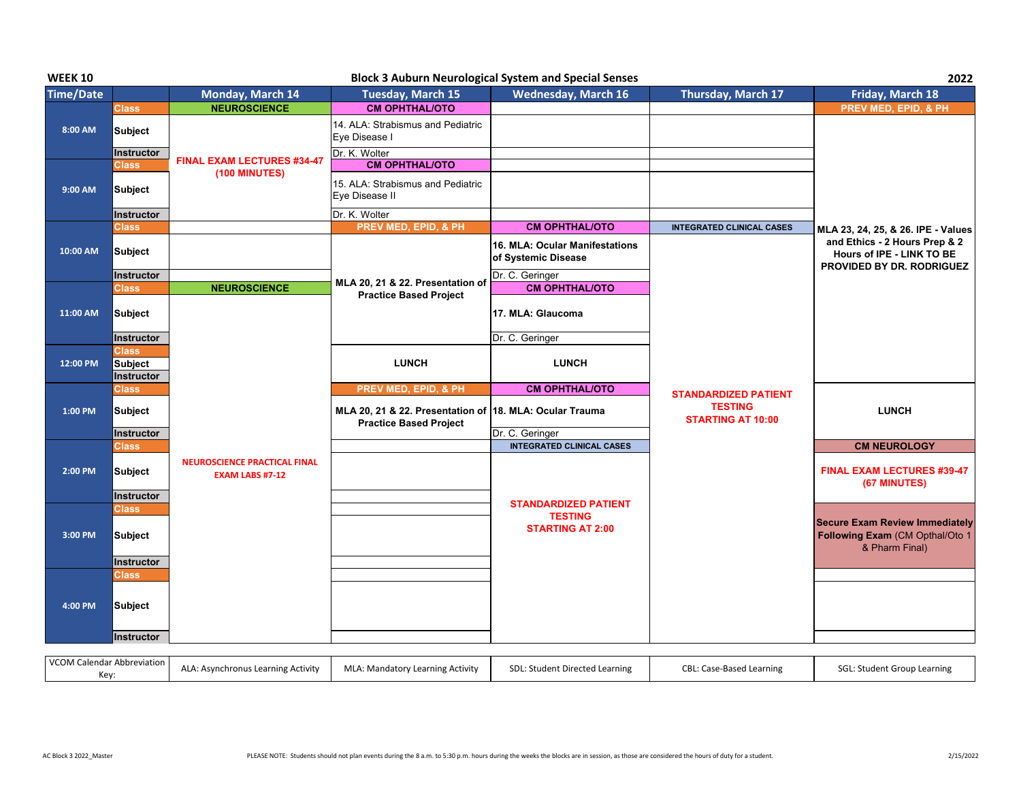| <b>WEEK 10</b>                    |                                              |                                                               |                                                                                          | <b>Block 3 Auburn Neurological System and Special Senses</b> |                                                                           | 2022                                                                                       |
|-----------------------------------|----------------------------------------------|---------------------------------------------------------------|------------------------------------------------------------------------------------------|--------------------------------------------------------------|---------------------------------------------------------------------------|--------------------------------------------------------------------------------------------|
| <b>Time/Date</b>                  |                                              | Monday, March 14                                              | <b>Tuesday, March 15</b>                                                                 | <b>Wednesday, March 16</b>                                   | Thursday, March 17                                                        | Friday, March 18                                                                           |
|                                   | Class                                        | <b>NEUROSCIENCE</b>                                           | <b>CM OPHTHAL/OTO</b>                                                                    |                                                              |                                                                           | <b>PREV MED, EPID, &amp; PH</b>                                                            |
| 8:00 AM                           | Subject                                      |                                                               | 14. ALA: Strabismus and Pediatric<br>Eye Disease I                                       |                                                              |                                                                           |                                                                                            |
|                                   | Instructor                                   | <b>FINAL EXAM LECTURES #34-47</b><br><b>(100 MINUTES)</b>     | Dr. K. Wolter                                                                            |                                                              |                                                                           |                                                                                            |
|                                   | Class                                        |                                                               | <b>CM OPHTHAL/OTO</b>                                                                    |                                                              |                                                                           |                                                                                            |
| 9:00 AM                           | <b>Subject</b>                               |                                                               | 15. ALA: Strabismus and Pediatric<br>Eye Disease II                                      |                                                              |                                                                           |                                                                                            |
|                                   | <b>Instructor</b>                            |                                                               | Dr. K. Wolter                                                                            |                                                              |                                                                           |                                                                                            |
|                                   | <b>Class</b>                                 |                                                               | PREV MED, EPID, & PH                                                                     | <b>CM OPHTHAL/OTO</b>                                        | <b>INTEGRATED CLINICAL CASES</b>                                          | MLA 23, 24, 25, & 26. IPE - Values                                                         |
| 10:00 AM                          | <b>Subject</b>                               |                                                               |                                                                                          | 16. MLA: Ocular Manifestations<br>of Systemic Disease        |                                                                           | and Ethics - 2 Hours Prep & 2<br>Hours of IPE - LINK TO BE<br>PROVIDED BY DR. RODRIGUEZ    |
|                                   | <b>Instructor</b>                            |                                                               |                                                                                          | Dr. C. Geringer                                              |                                                                           |                                                                                            |
|                                   | <b>Class</b>                                 | <b>NEUROSCIENCE</b>                                           | MLA 20, 21 & 22. Presentation of<br><b>Practice Based Project</b>                        | <b>CM OPHTHAL/OTO</b>                                        |                                                                           |                                                                                            |
| 11:00 AM                          | <b>Subject</b>                               |                                                               |                                                                                          | 17. MLA: Glaucoma                                            |                                                                           |                                                                                            |
|                                   | <b>Instructor</b>                            |                                                               |                                                                                          | Dr. C. Geringer                                              |                                                                           |                                                                                            |
| 12:00 PM                          | Class<br><b>Subject</b><br><b>Instructor</b> |                                                               | <b>LUNCH</b>                                                                             | <b>LUNCH</b>                                                 |                                                                           |                                                                                            |
|                                   | Class                                        |                                                               | <b>PREV MED, EPID, &amp; PH</b>                                                          | <b>CM OPHTHAL/OTO</b>                                        | <b>STANDARDIZED PATIENT</b><br><b>TESTING</b><br><b>STARTING AT 10:00</b> |                                                                                            |
| 1:00 PM                           | Subject                                      |                                                               | MLA 20, 21 & 22. Presentation of 18. MLA: Ocular Trauma<br><b>Practice Based Project</b> |                                                              |                                                                           | <b>LUNCH</b>                                                                               |
|                                   | <b>Instructor</b>                            |                                                               |                                                                                          | Dr. C. Geringer                                              |                                                                           |                                                                                            |
|                                   | Class                                        |                                                               |                                                                                          | <b>INTEGRATED CLINICAL CASES</b>                             |                                                                           | <b>CM NEUROLOGY</b>                                                                        |
| 2:00 PM                           | <b>Subject</b><br><b>Instructor</b>          | <b>NEUROSCIENCE PRACTICAL FINAL</b><br><b>EXAM LABS #7-12</b> |                                                                                          |                                                              |                                                                           | <b>FINAL EXAM LECTURES #39-47</b><br>(67 MINUTES)                                          |
|                                   | <b>Class</b>                                 |                                                               |                                                                                          | <b>STANDARDIZED PATIENT</b>                                  |                                                                           |                                                                                            |
| 3:00 PM                           | <b>Subject</b>                               |                                                               |                                                                                          | <b>TESTING</b><br><b>STARTING AT 2:00</b>                    |                                                                           | <b>Secure Exam Review Immediately</b><br>Following Exam (CM Opthal/Oto 1<br>& Pharm Final) |
|                                   | <b>Instructor</b>                            |                                                               |                                                                                          |                                                              |                                                                           |                                                                                            |
| 4:00 PM                           | Class<br>Subject<br><b>Instructor</b>        |                                                               |                                                                                          |                                                              |                                                                           |                                                                                            |
|                                   |                                              |                                                               |                                                                                          |                                                              |                                                                           |                                                                                            |
| <b>VCOM Calendar Abbreviation</b> |                                              | ALA: Asynchronus Learning Activity                            | MLA: Mandatory Learning Activity                                                         | SDI · Student Directed Learning                              | CBL: Case-Based Learning                                                  | SGL: Student Group Learning                                                                |

| VCOM Calendar Abbreviation | ،: Asynchronus Learning Activity | MLA: Mandatory Learning Activity | SDL: Student Directed Learning | CBL: Case-Based Learning | SGL: Student Group Learning |
|----------------------------|----------------------------------|----------------------------------|--------------------------------|--------------------------|-----------------------------|
| Ker                        |                                  |                                  |                                |                          |                             |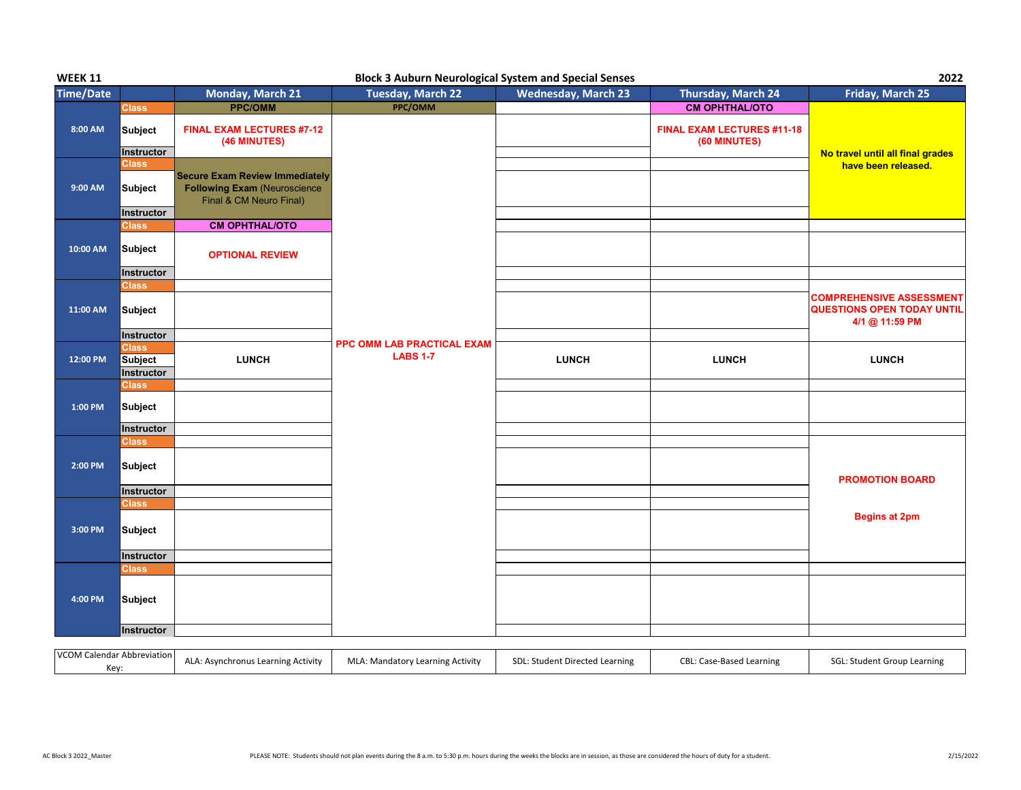| <b>WEEK 11</b>                            | <b>Block 3 Auburn Neurological System and Special Senses</b> |                                                                                                         |                                  |                                |                                            | 2022                                                                                   |
|-------------------------------------------|--------------------------------------------------------------|---------------------------------------------------------------------------------------------------------|----------------------------------|--------------------------------|--------------------------------------------|----------------------------------------------------------------------------------------|
| <b>Time/Date</b>                          |                                                              | Monday, March 21                                                                                        | <b>Tuesday, March 22</b>         | <b>Wednesday, March 23</b>     | Thursday, March 24                         | Friday, March 25                                                                       |
|                                           | <b>Class</b>                                                 | <b>PPC/OMM</b>                                                                                          | PPC/OMM                          |                                | <b>CM OPHTHAL/OTO</b>                      |                                                                                        |
| 8:00 AM                                   | <b>Subject</b><br><b>Instructor</b>                          | <b>FINAL EXAM LECTURES #7-12</b><br>(46 MINUTES)                                                        |                                  |                                | FINAL EXAM LECTURES #11-18<br>(60 MINUTES) | No travel until all final grades                                                       |
| 9:00 AM                                   | Class<br><b>Subject</b>                                      | <b>Secure Exam Review Immediately</b><br><b>Following Exam (Neuroscience</b><br>Final & CM Neuro Final) |                                  |                                |                                            | have been released.                                                                    |
|                                           | Instructor                                                   |                                                                                                         |                                  |                                |                                            |                                                                                        |
|                                           | <b>Class</b>                                                 | <b>CM OPHTHAL/OTO</b>                                                                                   |                                  |                                |                                            |                                                                                        |
| 10:00 AM                                  | <b>Subject</b>                                               | <b>OPTIONAL REVIEW</b>                                                                                  |                                  |                                |                                            |                                                                                        |
|                                           | Instructor<br><b>Class</b>                                   |                                                                                                         |                                  |                                |                                            |                                                                                        |
| 11:00 AM                                  | Subject                                                      |                                                                                                         |                                  |                                |                                            | <b>COMPREHENSIVE ASSESSMENT</b><br><b>QUESTIONS OPEN TODAY UNTIL</b><br>4/1 @ 11:59 PM |
|                                           | Instructor                                                   |                                                                                                         | PPC OMM LAB PRACTICAL EXAM       |                                |                                            |                                                                                        |
| 12:00 PM                                  | <b>Class</b>                                                 |                                                                                                         | <b>LABS 1-7</b>                  | <b>LUNCH</b>                   | <b>LUNCH</b>                               | <b>LUNCH</b>                                                                           |
|                                           | <b>Subject</b><br>Instructor                                 | <b>LUNCH</b>                                                                                            |                                  |                                |                                            |                                                                                        |
|                                           | Class                                                        |                                                                                                         |                                  |                                |                                            |                                                                                        |
| 1:00 PM                                   | <b>Subject</b>                                               |                                                                                                         |                                  |                                |                                            |                                                                                        |
|                                           | Instructor                                                   |                                                                                                         |                                  |                                |                                            |                                                                                        |
| 2:00 PM                                   | Class<br><b>Subject</b>                                      |                                                                                                         |                                  |                                |                                            | <b>PROMOTION BOARD</b>                                                                 |
|                                           | Instructor                                                   |                                                                                                         |                                  |                                |                                            |                                                                                        |
| 3:00 PM                                   | <b>Class</b><br><b>Subject</b>                               |                                                                                                         |                                  |                                |                                            | <b>Begins at 2pm</b>                                                                   |
|                                           | Instructor                                                   |                                                                                                         |                                  |                                |                                            |                                                                                        |
|                                           | Class                                                        |                                                                                                         |                                  |                                |                                            |                                                                                        |
| $4:00$ PM                                 | <b>Subject</b>                                               |                                                                                                         |                                  |                                |                                            |                                                                                        |
|                                           | Instructor                                                   |                                                                                                         |                                  |                                |                                            |                                                                                        |
| <b>VCOM Calendar Abbreviation</b><br>Key: |                                                              | ALA: Asynchronus Learning Activity                                                                      | MLA: Mandatory Learning Activity | SDL: Student Directed Learning | CBL: Case-Based Learning                   | SGL: Student Group Learning                                                            |